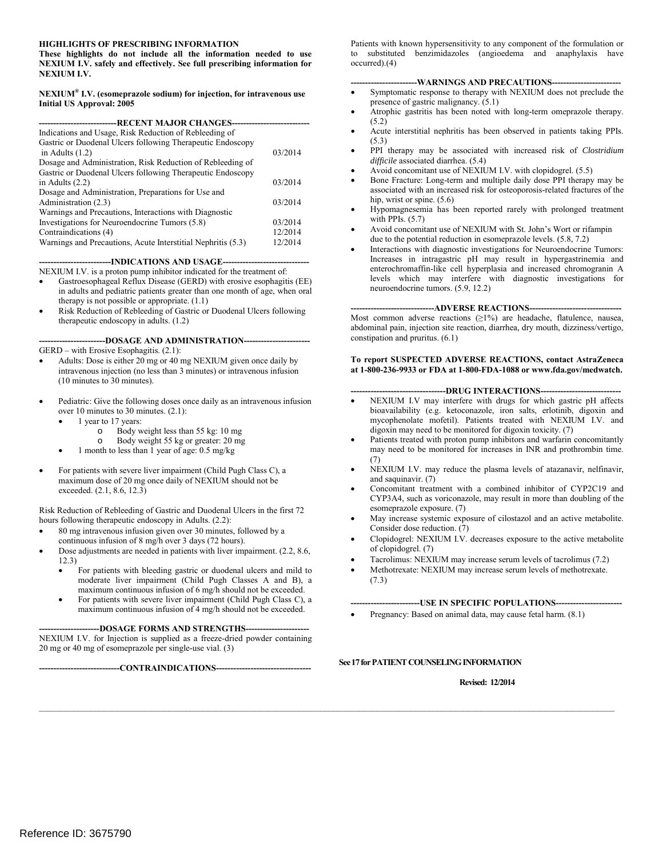**NEXIUM I.V. safely and effectively. See full prescribing information for** occurred).(4) **NEXIUM I.V.**

#### **NEXIUM® I.V. (esomeprazole sodium) for injection, for intravenous use Initial US Approval: 2005**

| Indications and Usage, Risk Reduction of Rebleeding of       |         |
|--------------------------------------------------------------|---------|
| Gastric or Duodenal Ulcers following Therapeutic Endoscopy   |         |
| in Adults $(1.2)$                                            | 03/2014 |
| Dosage and Administration, Risk Reduction of Rebleeding of   |         |
| Gastric or Duodenal Ulcers following Therapeutic Endoscopy   |         |
| in Adults $(2.2)$                                            | 03/2014 |
| Dosage and Administration, Preparations for Use and          |         |
| Administration (2.3)                                         | 03/2014 |
| Warnings and Precautions, Interactions with Diagnostic       |         |
| Investigations for Neuroendocrine Tumors (5.8)               | 03/2014 |
| Contraindications (4)                                        | 12/2014 |
| Warnings and Precautions, Acute Interstitial Nephritis (5.3) | 12/2014 |
|                                                              |         |

----INDICATIONS AND USAGE----

NEXIUM I.V. is a proton pump inhibitor indicated for the treatment of:

- in adults and pediatric patients greater than one month of age, when oral therapy is not possible or appropriate. (1.1) Gastroesophageal Reflux Disease (GERD) with erosive esophagitis (EE)
- Risk Reduction of Rebleeding of Gastric or Duodenal Ulcers following therapeutic endoscopy in adults. (1.2)

---DOSAGE AND ADMINISTRATION-----

GERD – with Erosive Esophagitis. (2.1):

- intravenous injection (no less than 3 minutes) or intravenous infusion (10 minutes to 30 minutes). Adults: Dose is either 20 mg or 40 mg NEXIUM given once daily by
- Pediatric: Give the following doses once daily as an intravenous infusion over 10 minutes to 30 minutes. (2.1):
	- 1 year to 17 years:
		- o Body weight less than 55 kg: 10 mg
		- o Body weight 55 kg or greater: 20 mg
		- 1 month to less than 1 year of age:  $0.5 \text{ mg/kg}$
- For patients with severe liver impairment (Child Pugh Class C), a maximum dose of 20 mg once daily of NEXIUM should not be exceeded. (2.1, 8.6, 12.3)

Risk Reduction of Rebleeding of Gastric and Duodenal Ulcers in the first 72 hours following therapeutic endoscopy in Adults. (2.2):

- continuous infusion of 8 mg/h over 3 days (72 hours). 80 mg intravenous infusion given over 30 minutes, followed by a
- Dose adjustments are needed in patients with liver impairment. (2.2, 8.6, 12.3)
	- moderate liver impairment (Child Pugh Classes A and B), a • For patients with bleeding gastric or duodenal ulcers and mild to maximum continuous infusion of 6 mg/h should not be exceeded.
	- For patients with severe liver impairment (Child Pugh Class C), a maximum continuous infusion of 4 mg/h should not be exceeded.

#### --DOSAGE FORMS AND STRENGTHS---

 NEXIUM I.V. for Injection is supplied as a freeze-dried powder containing 20 mg or 40 mg of esomeprazole per single-use vial. (3)

**----------------------------CONTRAINDICATIONS---------------------------------**

 **These highlights do not include all the information needed to use** to substituted benzimidazoles (angioedema and anaphylaxis have **HIGHLIGHTS OF PRESCRIBING INFORMATION** Patients with known hypersensitivity to any component of the formulation or to substituted benzimidazoles (angioedema and anaphylaxis have

#### ----WARNINGS AND PRECAUTIONS---

- Symptomatic response to therapy with NEXIUM does not preclude the presence of gastric malignancy. (5.1)
- • Atrophic gastritis has been noted with long-term omeprazole therapy. (5.2)
- • Acute interstitial nephritis has been observed in patients taking PPIs.  $(5.3)$
- PPI therapy may be associated with increased risk of *Clostridium difficile* associated diarrhea. (5.4)
- Avoid concomitant use of NEXIUM I.V. with clopidogrel. (5.5)
- Bone Fracture: Long-term and multiple daily dose PPI therapy may be associated with an increased risk for osteoporosis-related fractures of the hip, wrist or spine.  $(5.6)$
- • Hypomagnesemia has been reported rarely with prolonged treatment with PPIs.  $(5.7)$
- Avoid concomitant use of NEXIUM with St. John's Wort or rifampin due to the potential reduction in esomeprazole levels. (5.8, 7.2)
- Interactions with diagnostic investigations for Neuroendocrine Tumors: Increases in intragastric pH may result in hypergastrinemia and enterochromaffin-like cell hyperplasia and increased chromogranin A levels which may interfere with diagnostic investigations for neuroendocrine tumors. (5.9, 12.2)

----ADVERSE REACTIONS---

Most common adverse reactions  $(\geq 1\%)$  are headache, flatulence, nausea, abdominal pain, injection site reaction, diarrhea, dry mouth, dizziness/vertigo, constipation and pruritus. (6.1)

#### **To report SUSPECTED ADVERSE REACTIONS, contact AstraZeneca at 1-800-236-9933 or FDA at 1-800-FDA-1088 o[r www.fda.gov/medwatch.](http://www.fda.gov/medwatch)**

#### ----DRUG INTERACTIONS---

- bioavailability (e.g. ketoconazole, iron salts, erlotinib, digoxin and mycophenolate mofetil). Patients treated with NEXIUM I.V. and NEXIUM I.V may interfere with drugs for which gastric pH affects digoxin may need to be monitored for digoxin toxicity. (7)
- • Patients treated with proton pump inhibitors and warfarin concomitantly may need to be monitored for increases in INR and prothrombin time. (7)
- NEXIUM I.V. may reduce the plasma levels of atazanavir, nelfinavir, and saquinavir. (7)
- CYP3A4, such as voriconazole, may result in more than doubling of the Concomitant treatment with a combined inhibitor of CYP2C19 and esomeprazole exposure. (7)
- Consider dose reduction. (7) May increase systemic exposure of cilostazol and an active metabolite.
- Clopidogrel: NEXIUM I.V. decreases exposure to the active metabolite of clopidogrel. (7)
- Tacrolimus: NEXIUM may increase serum levels of tacrolimus (7.2)
- Methotrexate: NEXIUM may increase serum levels of methotrexate. (7.3)

#### **------------------------USE IN SPECIFIC POPULATIONS-----------------------**

Pregnancy: Based on animal data, may cause fetal harm.  $(8.1)$ 

#### **See 17 for PATIENT COUNSELING INFORMATION**

**Revised: 12/2014**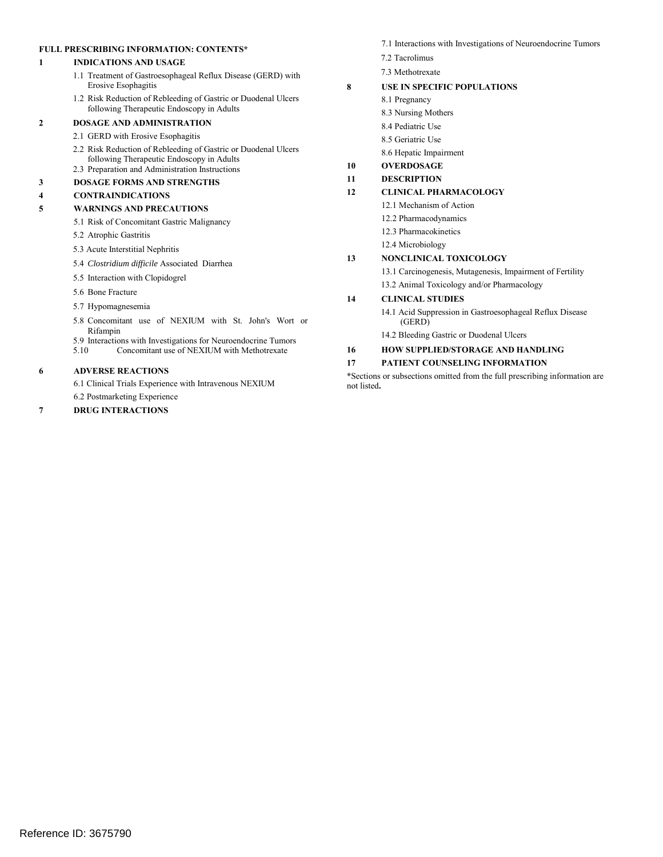#### **FULL PRESCRIBING INFORMATION: CONTENTS\***

#### **1 INDICATIONS AND USAGE**

- 1.1 Treatment of Gastroesophageal Reflux Disease (GERD) with Erosive Esophagitis
- 1.2 Risk Reduction of Rebleeding of Gastric or Duodenal Ulcers following Therapeutic Endoscopy in Adults

#### **2 DOSAGE AND ADMINISTRATION**

- 2.1 GERD with Erosive Esophagitis
- 2.2 Risk Reduction of Rebleeding of Gastric or Duodenal Ulcers following Therapeutic Endoscopy in Adults 2.3 Preparation and Administration Instructions

#### **3 DOSAGE FORMS AND STRENGTHS**

#### **4 CONTRAINDICATIONS**

#### **5 WARNINGS AND PRECAUTIONS**

- 5.1 Risk of Concomitant Gastric Malignancy
- 5.2 Atrophic Gastritis
- 5.3 Acute Interstitial Nephritis
- 5.4 *Clostridium difficile* Associated Diarrhea
- 5.5 Interaction with Clopidogrel
- 5.6 Bone Fracture
- 5.7 Hypomagnesemia
- 5.8 Concomitant use of NEXIUM with St. John's Wort or Rifampin
- 5.9 Interactions with Investigations for Neuroendocrine Tumors<br>5.10 Concomitant use of NEXIUM with Methotrexate
- 5.10 Concomitant use of NEXIUM with Methotrexate

#### **6 ADVERSE REACTIONS**

6.1 Clinical Trials Experience with Intravenous NEXIUM

6.2 Postmarketing Experience

#### **7 DRUG INTERACTIONS**

- 7.1 Interactions with Investigations of Neuroendocrine Tumors
- 7.2 Tacrolimus
- 7.3 Methotrexate

#### **8 USE IN SPECIFIC POPULATIONS**

- 8.1 Pregnancy
- 8.3 Nursing Mothers
- 8.4 Pediatric Use
- 8.5 Geriatric Use
- 8.6 Hepatic Impairment

#### **10 OVERDOSAGE**

**11 DESCRIPTION** 

#### **12 CLINICAL PHARMACOLOGY**

- 12.1 Mechanism of Action
	- 12.2 Pharmacodynamics
	- 12.3 Pharmacokinetics
	- 12.4 Microbiology

#### **13 NONCLINICAL TOXICOLOGY**

- 13.1 Carcinogenesis, Mutagenesis, Impairment of Fertility
- 13.2 Animal Toxicology and/or Pharmacology

#### **14 CLINICAL STUDIES**

- (GERD) 14.1 Acid Suppression in Gastroesophageal Reflux Disease
- 14.2 Bleeding Gastric or Duodenal Ulcers

#### **16 HOW SUPPLIED/STORAGE AND HANDLING**

#### **17 PATIENT COUNSELING INFORMATION**

\*Sections or subsections omitted from the full prescribing information are not listed**.**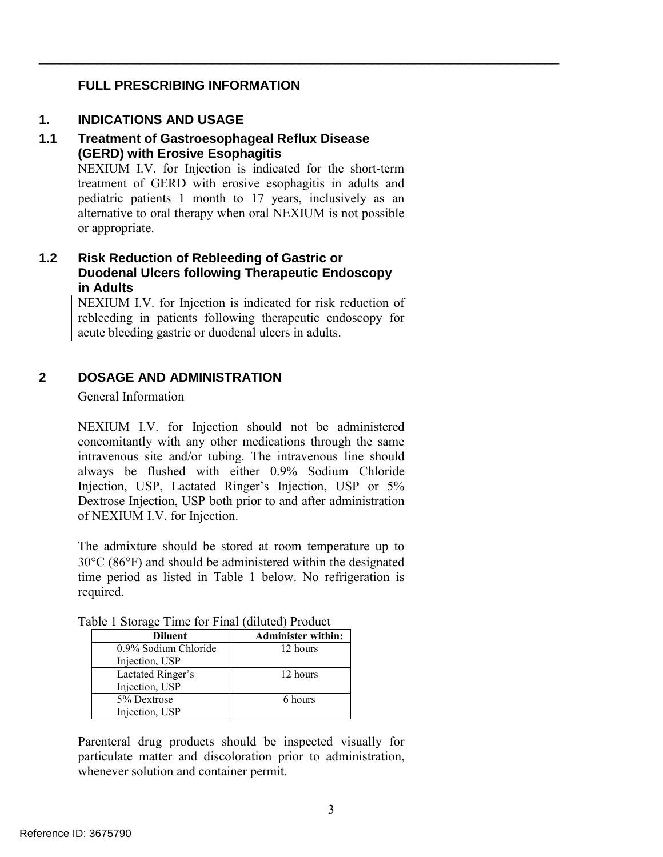## **FULL PRESCRIBING INFORMATION**

## **1. INDICATIONS AND USAGE**

### **1.1 Treatment of Gastroesophageal Reflux Disease (GERD) with Erosive Esophagitis**

 NEXIUM I.V. for Injection is indicated for the short-term pediatric patients 1 month to 17 years, inclusively as an alternative to oral therapy when oral NEXIUM is not possible treatment of GERD with erosive esophagitis in adults and or appropriate.

\_\_\_\_\_\_\_\_\_\_\_\_\_\_\_\_\_\_\_\_\_\_\_\_\_\_\_\_\_\_\_\_\_\_\_\_\_\_\_\_\_\_\_\_\_\_\_\_\_\_\_\_\_\_\_\_\_\_\_\_\_\_\_\_\_\_\_\_\_\_\_\_

## **1.2 Risk Reduction of Rebleeding of Gastric or Duodenal Ulcers following Therapeutic Endoscopy in Adults**

 NEXIUM I.V. for Injection is indicated for risk reduction of rebleeding in patients following therapeutic endoscopy for acute bleeding gastric or duodenal ulcers in adults.

#### **2 DOSAGE AND ADMINISTRATION**

General Information

 NEXIUM I.V. for Injection should not be administered of NEXIUM I.V. for Injection. concomitantly with any other medications through the same intravenous site and/or tubing. The intravenous line should always be flushed with either 0.9% Sodium Chloride Injection, USP, Lactated Ringer's Injection, USP or 5% Dextrose Injection, USP both prior to and after administration

The admixture should be stored at room temperature up to 30°C (86°F) and should be administered within the designated time period as listed in Table 1 below. No refrigeration is required.

| <b>Diluent</b>       | <b>Administer within:</b> |
|----------------------|---------------------------|
| 0.9% Sodium Chloride | 12 hours                  |
| Injection, USP       |                           |
| Lactated Ringer's    | 12 hours                  |
| Injection, USP       |                           |
| 5% Dextrose          | 6 hours                   |
| Injection, USP       |                           |

Table 1 Storage Time for Final (diluted) Product

Parenteral drug products should be inspected visually for particulate matter and discoloration prior to administration, whenever solution and container permit.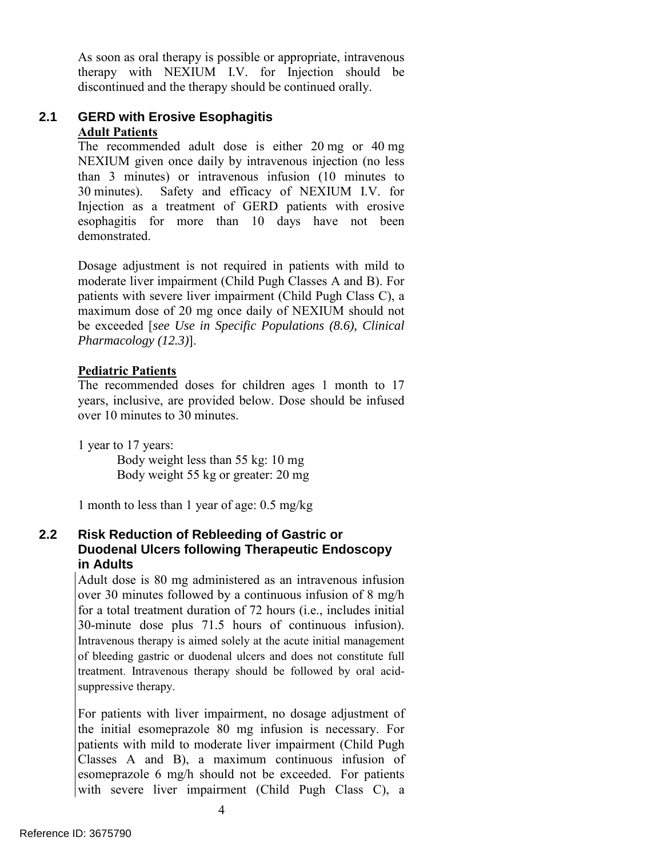As soon as oral therapy is possible or appropriate, intravenous therapy with NEXIUM I.V. for Injection should be discontinued and the therapy should be continued orally.

#### **2.1 GERD with Erosive Esophagitis Adult Patients**

 The recommended adult dose is either 20 mg or 40 mg 30 minutes). Safety and efficacy of NEXIUM I.V. for NEXIUM given once daily by intravenous injection (no less than 3 minutes) or intravenous infusion (10 minutes to Injection as a treatment of GERD patients with erosive esophagitis for more than 10 days have not been demonstrated.

 Dosage adjustment is not required in patients with mild to moderate liver impairment (Child Pugh Classes A and B). For patients with severe liver impairment (Child Pugh Class C), a maximum dose of 20 mg once daily of NEXIUM should not be exceeded [*see Use in Specific Populations (8.6), Clinical Pharmacology (12.3)*].

## **Pediatric Patients**

The recommended doses for children ages 1 month to 17 years, inclusive, are provided below. Dose should be infused over 10 minutes to 30 minutes.

1 year to 17 years: Body weight less than 55 kg: 10 mg Body weight 55 kg or greater: 20 mg

1 month to less than 1 year of age:  $0.5 \text{ mg/kg}$ 

#### **2.2 Risk Reduction of Rebleeding of Gastric or Duodenal Ulcers following Therapeutic Endoscopy in Adults**

Adult dose is 80 mg administered as an intravenous infusion over 30 minutes followed by a continuous infusion of 8 mg/h for a total treatment duration of 72 hours (i.e., includes initial 30-minute dose plus 71.5 hours of continuous infusion). Intravenous therapy is aimed solely at the acute initial management of bleeding gastric or duodenal ulcers and does not constitute full treatment. Intravenous therapy should be followed by oral acidsuppressive therapy.

 esomeprazole 6 mg/h should not be exceeded. For patients For patients with liver impairment, no dosage adjustment of the initial esomeprazole 80 mg infusion is necessary. For patients with mild to moderate liver impairment (Child Pugh Classes A and B), a maximum continuous infusion of with severe liver impairment (Child Pugh Class C), a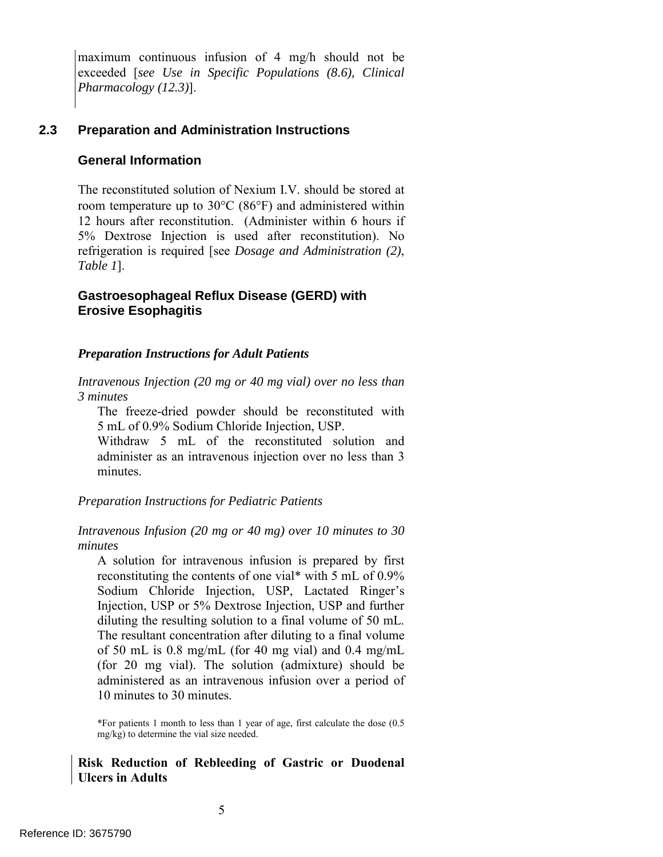maximum continuous infusion of 4 mg/h should not be exceeded [*see Use in Specific Populations (8.6), Clinical Pharmacology (12.3)*].

#### **2.3 Preparation and Administration Instructions**

#### **General Information**

The reconstituted solution of Nexium I.V. should be stored at room temperature up to 30°C (86°F) and administered within 12 hours after reconstitution. (Administer within 6 hours if 5% Dextrose Injection is used after reconstitution). No refrigeration is required [see *Dosage and Administration (2)*, *Table 1*].

### **Gastroesophageal Reflux Disease (GERD) with Erosive Esophagitis**

#### *Preparation Instructions for Adult Patients*

 *3 minutes Intravenous Injection (20 mg or 40 mg vial) over no less than* 

The freeze-dried powder should be reconstituted with 5 mL of 0.9% Sodium Chloride Injection, USP.

Withdraw 5 mL of the reconstituted solution and administer as an intravenous injection over no less than 3 minutes.

*Preparation Instructions for Pediatric Patients* 

#### *Intravenous Infusion (20 mg or 40 mg) over 10 minutes to 30 minutes*

 A solution for intravenous infusion is prepared by first administered as an intravenous infusion over a period of reconstituting the contents of one vial\* with 5 mL of 0.9% Sodium Chloride Injection, USP, Lactated Ringer's Injection, USP or 5% Dextrose Injection, USP and further diluting the resulting solution to a final volume of 50 mL. The resultant concentration after diluting to a final volume of 50 mL is 0.8 mg/mL (for 40 mg vial) and 0.4 mg/mL (for 20 mg vial). The solution (admixture) should be 10 minutes to 30 minutes.

\*For patients 1 month to less than 1 year of age, first calculate the dose (0.5 mg/kg) to determine the vial size needed.

#### **Risk Reduction of Rebleeding of Gastric or Duodenal Ulcers in Adults**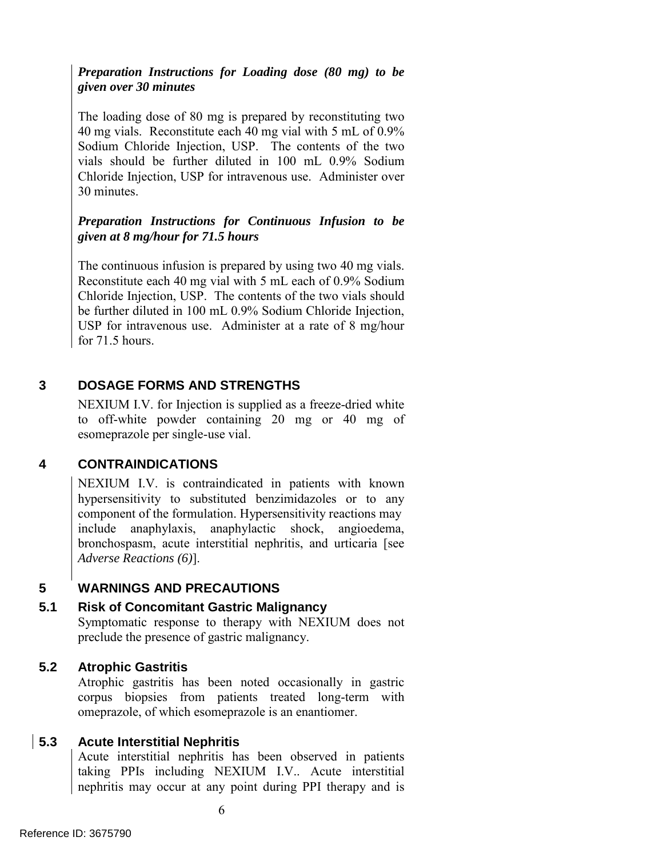## *Preparation Instructions for Loading dose (80 mg) to be given over 30 minutes*

The loading dose of 80 mg is prepared by reconstituting two 40 mg vials. Reconstitute each 40 mg vial with 5 mL of 0.9% Sodium Chloride Injection, USP. The contents of the two vials should be further diluted in 100 mL 0.9% Sodium Chloride Injection, USP for intravenous use. Administer over 30 minutes.

## *Preparation Instructions for Continuous Infusion to be given at 8 mg/hour for 71.5 hours*

 The continuous infusion is prepared by using two 40 mg vials. Reconstitute each 40 mg vial with 5 mL each of 0.9% Sodium be further diluted in 100 mL 0.9% Sodium Chloride Injection, Chloride Injection, USP. The contents of the two vials should USP for intravenous use. Administer at a rate of 8 mg/hour for 71.5 hours.

#### **3 DOSAGE FORMS AND STRENGTHS**

 NEXIUM I.V. for Injection is supplied as a freeze-dried white to off-white powder containing 20 mg or 40 mg of esomeprazole per single-use vial.

#### **4 CONTRAINDICATIONS**

 NEXIUM I.V. is contraindicated in patients with known hypersensitivity to substituted benzimidazoles or to any component of the formulation. Hypersensitivity reactions may include anaphylaxis, anaphylactic shock, angioedema, bronchospasm, acute interstitial nephritis, and urticaria [see *Adverse Reactions (6)*].

#### **5 WARNINGS AND PRECAUTIONS**

#### **5.1 Risk of Concomitant Gastric Malignancy**

Symptomatic response to therapy with NEXIUM does not preclude the presence of gastric malignancy.

#### **5.2 Atrophic Gastritis**

 Atrophic gastritis has been noted occasionally in gastric corpus biopsies from patients treated long-term with omeprazole, of which esomeprazole is an enantiomer.

#### **5.3 Acute Interstitial Nephritis**

 nephritis may occur at any point during PPI therapy and is Acute interstitial nephritis has been observed in patients taking PPIs including NEXIUM I.V.. Acute interstitial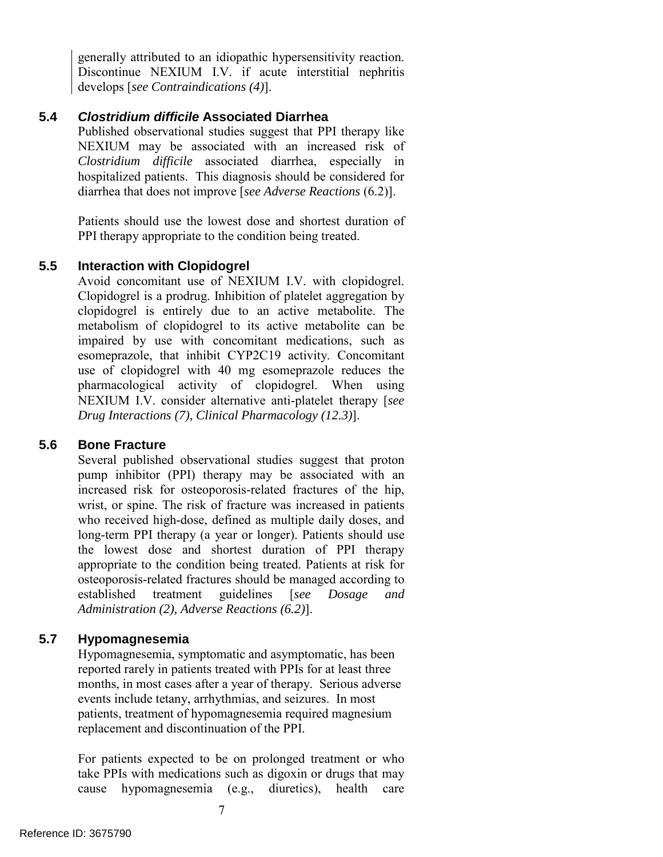generally attributed to an idiopathic hypersensitivity reaction. Discontinue NEXIUM I.V. if acute interstitial nephritis develops [*see Contraindications (4)*].

#### **5.4** *Clostridium difficile* **Associated Diarrhea**

 Published observational studies suggest that PPI therapy like diarrhea that does not improve [*see Adverse Reactions* (6.2)]. NEXIUM may be associated with an increased risk of *Clostridium difficile* associated diarrhea, especially in hospitalized patients. This diagnosis should be considered for

Patients should use the lowest dose and shortest duration of PPI therapy appropriate to the condition being treated.

#### **5.5 Interaction with Clopidogrel**

 use of clopidogrel with 40 mg esomeprazole reduces the Avoid concomitant use of NEXIUM I.V. with clopidogrel. Clopidogrel is a prodrug. Inhibition of platelet aggregation by clopidogrel is entirely due to an active metabolite. The metabolism of clopidogrel to its active metabolite can be impaired by use with concomitant medications, such as esomeprazole, that inhibit CYP2C19 activity. Concomitant pharmacological activity of clopidogrel. When using NEXIUM I.V. consider alternative anti-platelet therapy [*see Drug Interactions (7), Clinical Pharmacology (12.3)*].

#### **5.6 Bone Fracture**

 pump inhibitor (PPI) therapy may be associated with an who received high-dose, defined as multiple daily doses, and Several published observational studies suggest that proton increased risk for osteoporosis-related fractures of the hip, wrist, or spine. The risk of fracture was increased in patients long-term PPI therapy (a year or longer). Patients should use the lowest dose and shortest duration of PPI therapy appropriate to the condition being treated. Patients at risk for osteoporosis-related fractures should be managed according to established treatment guidelines [*see Dosage and Administration (2), Adverse Reactions (6.2)*].

#### **5.7 Hypomagnesemia**

 reported rarely in patients treated with PPIs for at least three Hypomagnesemia, symptomatic and asymptomatic, has been months, in most cases after a year of therapy. Serious adverse events include tetany, arrhythmias, and seizures. In most patients, treatment of hypomagnesemia required magnesium replacement and discontinuation of the PPI.

For patients expected to be on prolonged treatment or who take PPIs with medications such as digoxin or drugs that may cause hypomagnesemia (e.g., diuretics), health care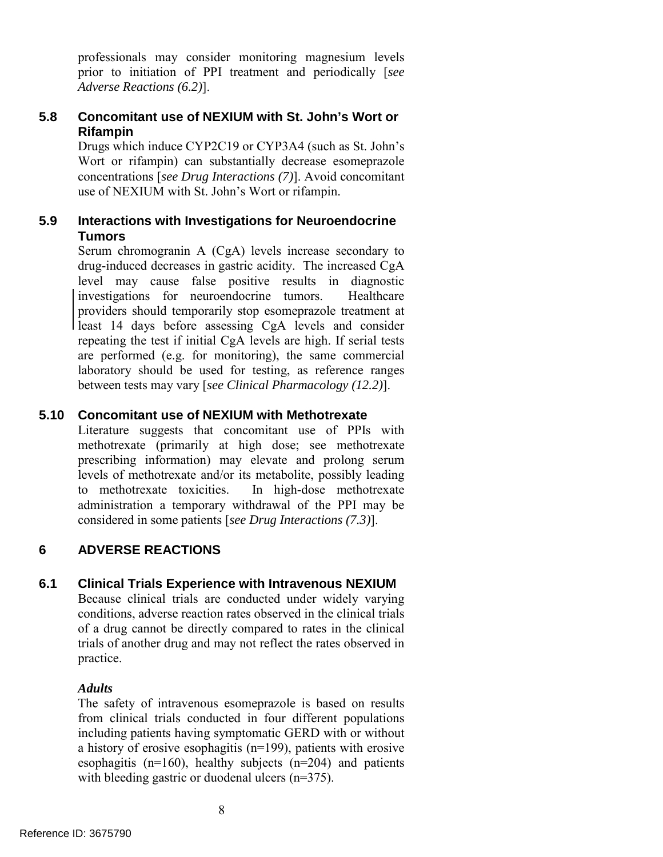professionals may consider monitoring magnesium levels prior to initiation of PPI treatment and periodically [*see Adverse Reactions (6.2)*].

#### **Concomitant use of NEXIUM with St. John's Wort or 5.8 Rifampin**

 use of NEXIUM with St. John's Wort or rifampin. Drugs which induce CYP2C19 or CYP3A4 (such as St. John's Wort or rifampin) can substantially decrease esomeprazole concentrations [*see Drug Interactions (7)*]. Avoid concomitant

#### **5.9 Interactions with Investigations for Neuroendocrine Tumors**

Serum chromogranin A (CgA) levels increase secondary to drug-induced decreases in gastric acidity. The increased CgA level may cause false positive results in diagnostic investigations for neuroendocrine tumors. Healthcare providers should temporarily stop esomeprazole treatment at least 14 days before assessing CgA levels and consider repeating the test if initial CgA levels are high. If serial tests are performed (e.g. for monitoring), the same commercial laboratory should be used for testing, as reference ranges between tests may vary [*see Clinical Pharmacology (12.2)*].

## **5.10 Concomitant use of NEXIUM with Methotrexate**

to methotrexate toxicities. Literature suggests that concomitant use of PPIs with methotrexate (primarily at high dose; see methotrexate prescribing information) may elevate and prolong serum levels of methotrexate and/or its metabolite, possibly leading In high-dose methotrexate administration a temporary withdrawal of the PPI may be considered in some patients [*see Drug Interactions (7.3)*].

#### **6 ADVERSE REACTIONS**

#### **6.1 Clinical Trials Experience with Intravenous NEXIUM**

Because clinical trials are conducted under widely varying conditions, adverse reaction rates observed in the clinical trials of a drug cannot be directly compared to rates in the clinical trials of another drug and may not reflect the rates observed in practice.

## *Adults*

with bleeding gastric or duodenal ulcers (n=375). The safety of intravenous esomeprazole is based on results from clinical trials conducted in four different populations including patients having symptomatic GERD with or without a history of erosive esophagitis (n=199), patients with erosive esophagitis  $(n=160)$ , healthy subjects  $(n=204)$  and patients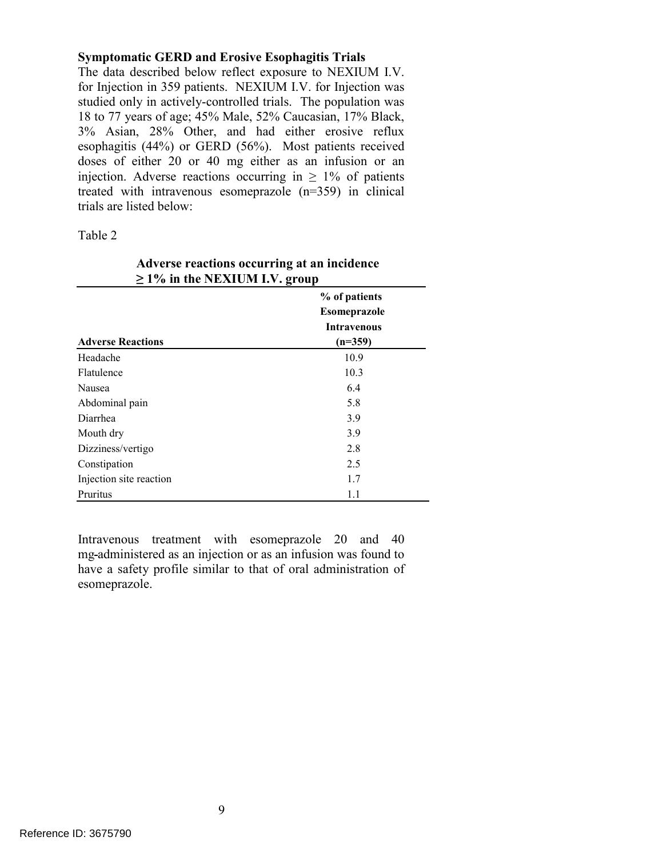#### **Symptomatic GERD and Erosive Esophagitis Trials**

 The data described below reflect exposure to NEXIUM I.V. for Injection in 359 patients. NEXIUM I.V. for Injection was 18 to 77 years of age; 45% Male, 52% Caucasian, 17% Black, injection. Adverse reactions occurring in  $\geq 1\%$  of patients studied only in actively-controlled trials. The population was 3% Asian, 28% Other, and had either erosive reflux esophagitis (44%) or GERD (56%). Most patients received doses of either 20 or 40 mg either as an infusion or an treated with intravenous esomeprazole (n=359) in clinical trials are listed below:

#### Table 2

| $\geq$ 1% in the NEXIUM I.V. group |                    |  |  |
|------------------------------------|--------------------|--|--|
|                                    | % of patients      |  |  |
|                                    | Esomeprazole       |  |  |
|                                    | <b>Intravenous</b> |  |  |
| <b>Adverse Reactions</b>           | $(n=359)$          |  |  |
| Headache                           | 10.9               |  |  |
| Flatulence                         | 10.3               |  |  |
| Nausea                             | 6.4                |  |  |
| Abdominal pain                     | 5.8                |  |  |
| Diarrhea                           | 3.9                |  |  |
| Mouth dry                          | 3.9                |  |  |
| Dizziness/vertigo                  | 2.8                |  |  |
| Constipation                       | 2.5                |  |  |
| Injection site reaction            | 1.7                |  |  |
| Pruritus                           | 1.1                |  |  |

# **Adverse reactions occurring at an incidence**

Intravenous treatment with esomeprazole 20 and 40 mg administered as an injection or as an infusion was found to have a safety profile similar to that of oral administration of esomeprazole.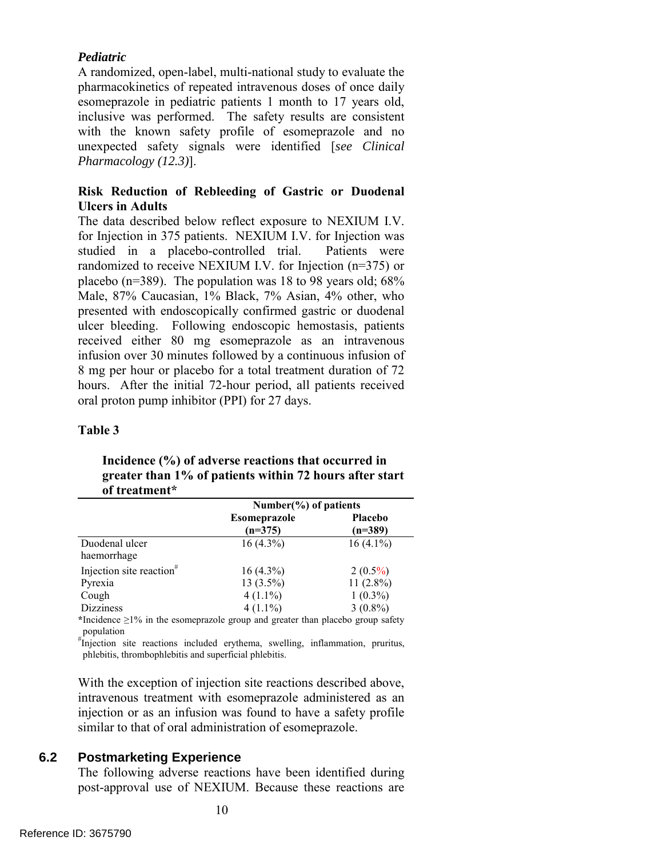#### *Pediatric*

 inclusive was performed. The safety results are consistent A randomized, open-label, multi-national study to evaluate the pharmacokinetics of repeated intravenous doses of once daily esomeprazole in pediatric patients 1 month to 17 years old, with the known safety profile of esomeprazole and no unexpected safety signals were identified [*see Clinical Pharmacology (12.3)*].

## **Risk Reduction of Rebleeding of Gastric or Duodenal Ulcers in Adults**

 The data described below reflect exposure to NEXIUM I.V. for Injection in 375 patients. NEXIUM I.V. for Injection was randomized to receive NEXIUM I.V. for Injection (n=375) or hours. After the initial 72-hour period, all patients received oral proton pump inhibitor (PPI) for 27 days. oral proton pump inhibitor (PPI) for 27 days. studied in a placebo-controlled trial. Patients were placebo (n=389). The population was 18 to 98 years old; 68% Male, 87% Caucasian, 1% Black, 7% Asian, 4% other, who presented with endoscopically confirmed gastric or duodenal ulcer bleeding. Following endoscopic hemostasis, patients received either 80 mg esomeprazole as an intravenous infusion over 30 minutes followed by a continuous infusion of 8 mg per hour or placebo for a total treatment duration of 72

#### **Table 3**

### **greater than 1% of patients within 72 hours after start Incidence (%) of adverse reactions that occurred in of treatment\***

|                                      | Number( $\%$ ) of patients       |                             |  |
|--------------------------------------|----------------------------------|-----------------------------|--|
|                                      | <b>Esomeprazole</b><br>$(n=375)$ | <b>Placebo</b><br>$(n=389)$ |  |
| Duodenal ulcer<br>haemorrhage        | $16(4.3\%)$                      | $16(4.1\%)$                 |  |
| Injection site reaction <sup>#</sup> | $16(4.3\%)$                      | $2(0.5\%)$                  |  |
| Pyrexia                              | $13(3.5\%)$                      | $11(2.8\%)$                 |  |
| Cough                                | $4(1.1\%)$                       | $1(0.3\%)$                  |  |
| <b>Dizziness</b>                     | $4(1.1\%)$                       | $3(0.8\%)$                  |  |

**\***Incidence ≥1% in the esomeprazole group and greater than placebo group safety population

 # Injection site reactions included erythema, swelling, inflammation, pruritus, phlebitis, thrombophlebitis and superficial phlebitis.

 intravenous treatment with esomeprazole administered as an With the exception of injection site reactions described above, injection or as an infusion was found to have a safety profile similar to that of oral administration of esomeprazole.

## **6.2 Postmarketing Experience**

The following adverse reactions have been identified during post-approval use of NEXIUM. Because these reactions are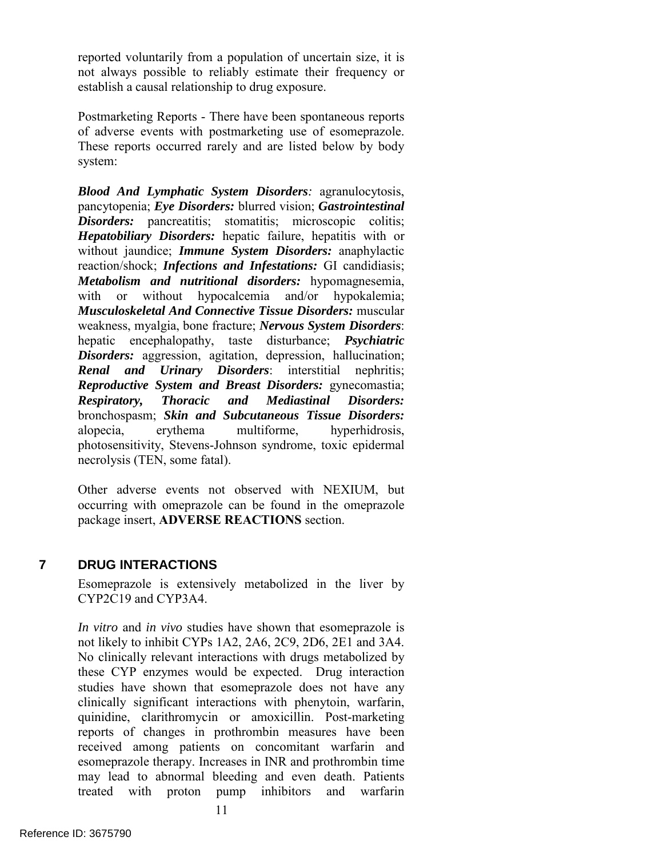reported voluntarily from a population of uncertain size, it is not always possible to reliably estimate their frequency or establish a causal relationship to drug exposure.

 These reports occurred rarely and are listed below by body Postmarketing Reports - There have been spontaneous reports of adverse events with postmarketing use of esomeprazole. system:

*Blood And Lymphatic System Disorders:* agranulocytosis, pancytopenia; *Eye Disorders:* blurred vision; *Gastrointestinal Disorders:* pancreatitis; stomatitis; microscopic colitis; *Hepatobiliary Disorders:* hepatic failure, hepatitis with or without jaundice; *Immune System Disorders:* anaphylactic reaction/shock; *Infections and Infestations:* GI candidiasis; *Metabolism and nutritional disorders:* hypomagnesemia, with or without hypocalcemia and/or hypokalemia; *Musculoskeletal And Connective Tissue Disorders:* muscular weakness, myalgia, bone fracture; *Nervous System Disorders*: hepatic encephalopathy, taste disturbance; *Psychiatric Disorders:* aggression, agitation, depression, hallucination; *Renal and Urinary Disorders*: interstitial nephritis; *Reproductive System and Breast Disorders:* gynecomastia; *Respiratory, Thoracic and Mediastinal Disorders:*  bronchospasm; *Skin and Subcutaneous Tissue Disorders:*  alopecia, erythema multiforme, hyperhidrosis, photosensitivity, Stevens-Johnson syndrome, toxic epidermal necrolysis (TEN, some fatal).

 package insert, **ADVERSE REACTIONS** section. Other adverse events not observed with NEXIUM, but occurring with omeprazole can be found in the omeprazole

## **7 DRUG INTERACTIONS**

Esomeprazole is extensively metabolized in the liver by CYP2C19 and CYP3A4.

 *In vitro* and *in vivo* studies have shown that esomeprazole is studies have shown that esomeprazole does not have any not likely to inhibit CYPs 1A2, 2A6, 2C9, 2D6, 2E1 and 3A4. No clinically relevant interactions with drugs metabolized by these CYP enzymes would be expected. Drug interaction clinically significant interactions with phenytoin, warfarin, quinidine, clarithromycin or amoxicillin. Post-marketing reports of changes in prothrombin measures have been received among patients on concomitant warfarin and esomeprazole therapy. Increases in INR and prothrombin time may lead to abnormal bleeding and even death. Patients treated with proton pump inhibitors and warfarin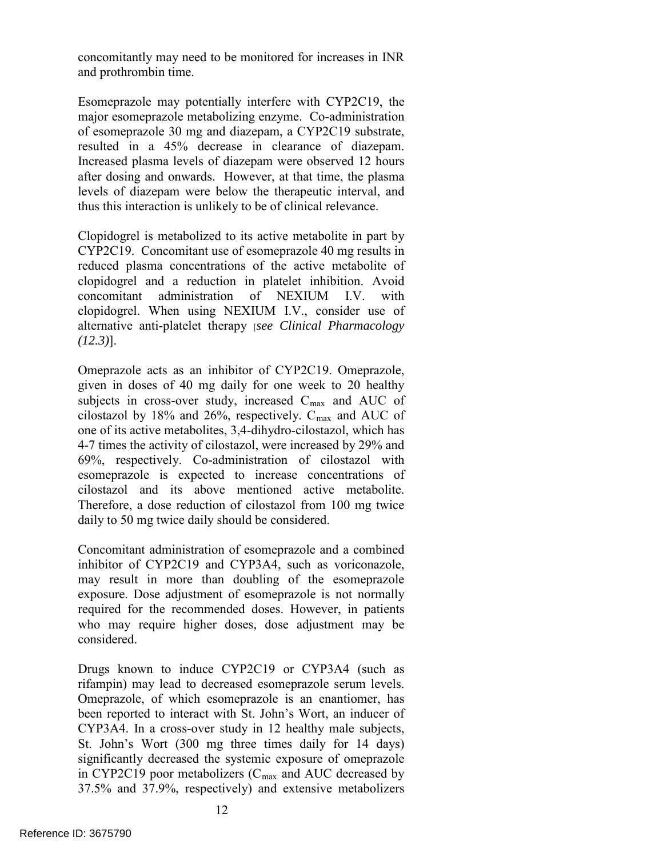concomitantly may need to be monitored for increases in INR and prothrombin time.

resulted in a 45% decrease in clearance of diazepam. Esomeprazole may potentially interfere with CYP2C19, the major esomeprazole metabolizing enzyme. Co-administration of esomeprazole 30 mg and diazepam, a CYP2C19 substrate, Increased plasma levels of diazepam were observed 12 hours after dosing and onwards. However, at that time, the plasma levels of diazepam were below the therapeutic interval, and thus this interaction is unlikely to be of clinical relevance.

Clopidogrel is metabolized to its active metabolite in part by CYP2C19. Concomitant use of esomeprazole 40 mg results in reduced plasma concentrations of the active metabolite of clopidogrel and a reduction in platelet inhibition. Avoid concomitant administration of NEXIUM I.V. with clopidogrel. When using NEXIUM I.V., consider use of alternative anti-platelet therapy [*see Clinical Pharmacology (12.3)*].

 4-7 times the activity of cilostazol, were increased by 29% and Omeprazole acts as an inhibitor of CYP2C19. Omeprazole, given in doses of 40 mg daily for one week to 20 healthy subjects in cross-over study, increased  $C_{\text{max}}$  and AUC of cilostazol by 18% and 26%, respectively.  $C_{\text{max}}$  and AUC of one of its active metabolites, 3,4-dihydro-cilostazol, which has 69%, respectively. Co-administration of cilostazol with esomeprazole is expected to increase concentrations of cilostazol and its above mentioned active metabolite. Therefore, a dose reduction of cilostazol from 100 mg twice daily to 50 mg twice daily should be considered.

Concomitant administration of esomeprazole and a combined inhibitor of CYP2C19 and CYP3A4, such as voriconazole, may result in more than doubling of the esomeprazole exposure. Dose adjustment of esomeprazole is not normally required for the recommended doses. However, in patients who may require higher doses, dose adjustment may be considered.

rifampin) may lead to decreased esomeprazole serum levels. Drugs known to induce CYP2C19 or CYP3A4 (such as Omeprazole, of which esomeprazole is an enantiomer, has been reported to interact with St. John's Wort, an inducer of CYP3A4. In a cross-over study in 12 healthy male subjects, St. John's Wort (300 mg three times daily for 14 days) significantly decreased the systemic exposure of omeprazole in CYP2C19 poor metabolizers  $(C_{\text{max}})$  and AUC decreased by 37.5% and 37.9%, respectively) and extensive metabolizers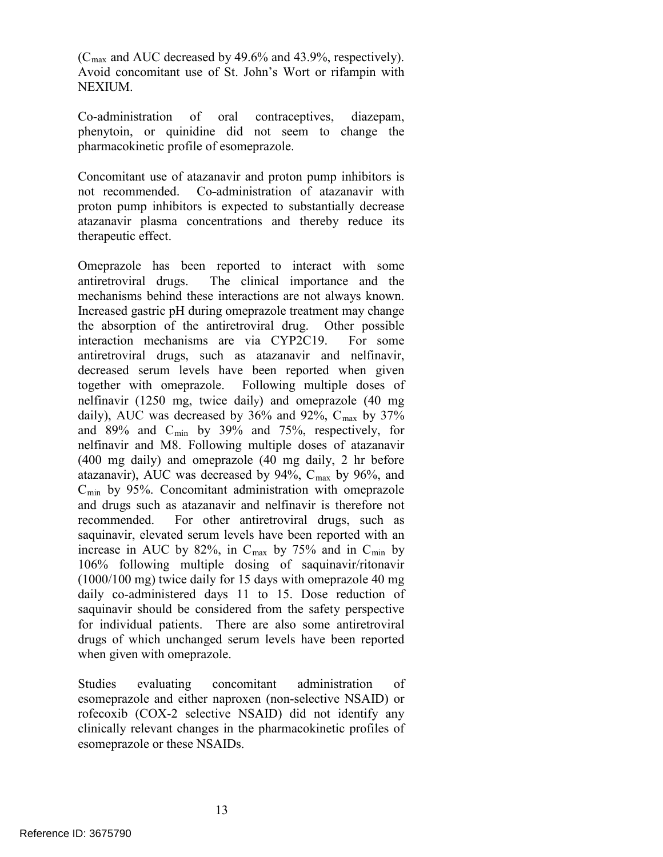$(C_{\text{max}}$  and AUC decreased by 49.6% and 43.9%, respectively). Avoid concomitant use of St. John's Wort or rifampin with NEXIUM.

Co-administration of oral contraceptives, diazepam, phenytoin, or quinidine did not seem to change the pharmacokinetic profile of esomeprazole.

 atazanavir plasma concentrations and thereby reduce its Concomitant use of atazanavir and proton pump inhibitors is not recommended. Co-administration of atazanavir with proton pump inhibitors is expected to substantially decrease therapeutic effect.

mechanisms behind these interactions are not always known. mechanisms behind these interactions are not always known. Increased gastric pH during omeprazole treatment may change decreased serum levels have been reported when given (1000/100 mg) twice daily for 15 days with omeprazole 40 mg Omeprazole has been reported to interact with some antiretroviral drugs. The clinical importance and the the absorption of the antiretroviral drug. Other possible interaction mechanisms are via CYP2C19. For some antiretroviral drugs, such as atazanavir and nelfinavir, together with omeprazole. Following multiple doses of nelfinavir (1250 mg, twice daily) and omeprazole (40 mg daily), AUC was decreased by  $36\%$  and  $92\%$ ,  $C_{\text{max}}$  by  $37\%$ and 89% and  $C_{\text{min}}$  by 39% and 75%, respectively, for nelfinavir and M8. Following multiple doses of atazanavir (400 mg daily) and omeprazole (40 mg daily, 2 hr before atazanavir), AUC was decreased by  $94\%$ ,  $C_{\text{max}}$  by  $96\%$ , and  $C<sub>min</sub>$  by 95%. Concomitant administration with omeprazole and drugs such as atazanavir and nelfinavir is therefore not recommended. For other antiretroviral drugs, such as saquinavir, elevated serum levels have been reported with an increase in AUC by 82%, in  $C_{\text{max}}$  by 75% and in  $C_{\text{min}}$  by 106% following multiple dosing of saquinavir/ritonavir daily co-administered days 11 to 15. Dose reduction of saquinavir should be considered from the safety perspective for individual patients. There are also some antiretroviral drugs of which unchanged serum levels have been reported when given with omeprazole.

Studies evaluating concomitant administration of esomeprazole and either naproxen (non-selective NSAID) or rofecoxib (COX-2 selective NSAID) did not identify any clinically relevant changes in the pharmacokinetic profiles of esomeprazole or these NSAIDs.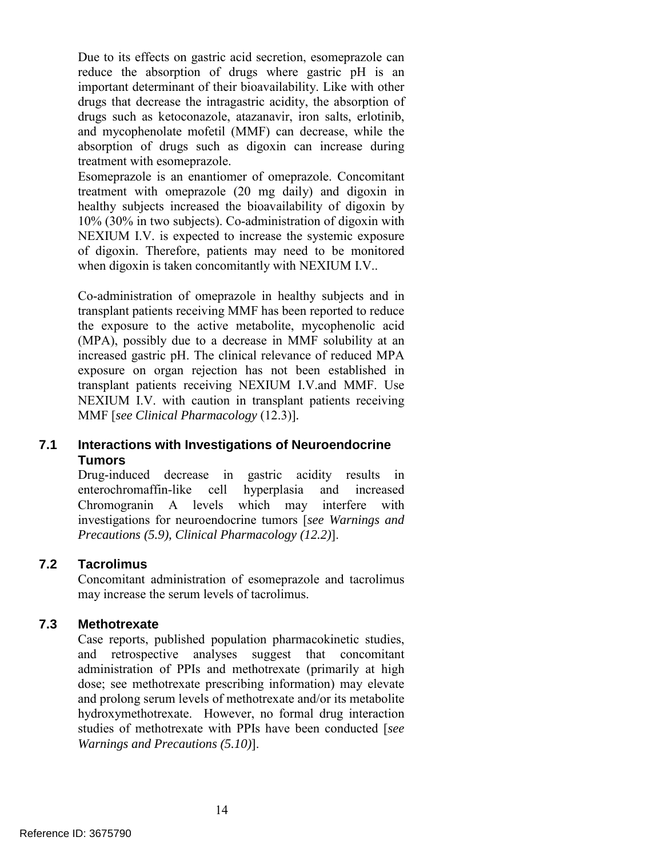Due to its effects on gastric acid secretion, esomeprazole can reduce the absorption of drugs where gastric pH is an important determinant of their bioavailability. Like with other drugs that decrease the intragastric acidity, the absorption of drugs such as ketoconazole, atazanavir, iron salts, erlotinib, and mycophenolate mofetil (MMF) can decrease, while the absorption of drugs such as digoxin can increase during treatment with esomeprazole.

 when digoxin is taken concomitantly with NEXIUM I.V.. Esomeprazole is an enantiomer of omeprazole. Concomitant treatment with omeprazole (20 mg daily) and digoxin in healthy subjects increased the bioavailability of digoxin by 10% (30% in two subjects). Co-administration of digoxin with NEXIUM I.V. is expected to increase the systemic exposure of digoxin. Therefore, patients may need to be monitored

 NEXIUM I.V. with caution in transplant patients receiving  MMF [*see Clinical Pharmacology* (12.3)]*.*  Co-administration of omeprazole in healthy subjects and in transplant patients receiving MMF has been reported to reduce the exposure to the active metabolite, mycophenolic acid (MPA), possibly due to a decrease in MMF solubility at an increased gastric pH. The clinical relevance of reduced MPA exposure on organ rejection has not been established in transplant patients receiving NEXIUM I.V.and MMF. Use

## **7.1 Interactions with Investigations of Neuroendocrine Tumors**

 Chromogranin A levels which may interfere with *Precautions (5.9), Clinical Pharmacology (12.2)*]. Drug-induced decrease in gastric acidity results in enterochromaffin-like cell hyperplasia and increased investigations for neuroendocrine tumors [*see Warnings and* 

## **7.2 Tacrolimus**

Concomitant administration of esomeprazole and tacrolimus may increase the serum levels of tacrolimus.

## **7.3 Methotrexate**

Case reports, published population pharmacokinetic studies, and retrospective analyses suggest that concomitant administration of PPIs and methotrexate (primarily at high dose; see methotrexate prescribing information) may elevate and prolong serum levels of methotrexate and/or its metabolite hydroxymethotrexate. However, no formal drug interaction studies of methotrexate with PPIs have been conducted [*see Warnings and Precautions (5.10)*].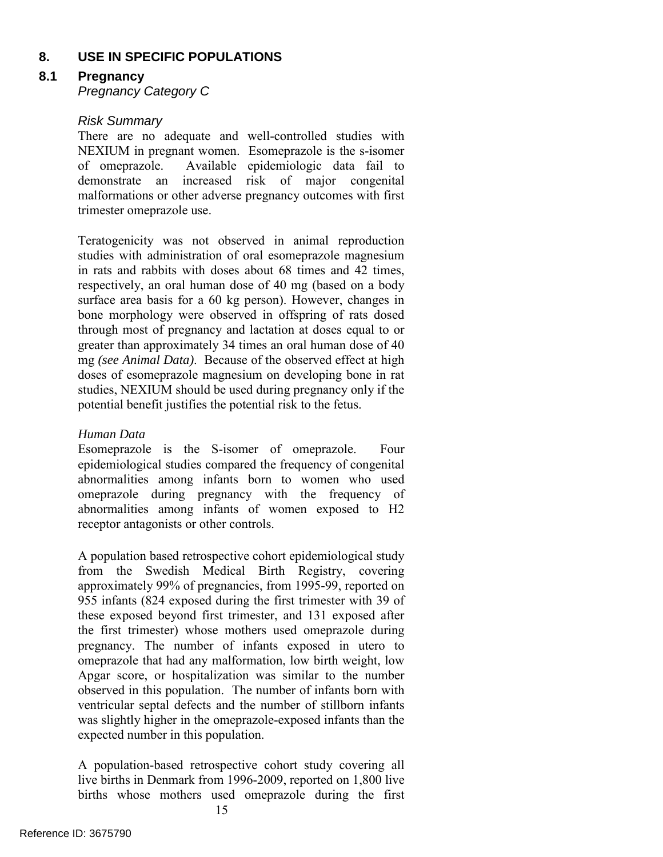## **8. USE IN SPECIFIC POPULATIONS**

## **8.1 Pregnancy**

*Pregnancy Category C* 

## *Risk Summary*

There are no adequate and well-controlled studies with NEXIUM in pregnant women. Esomeprazole is the s-isomer<br>of omeprazole. Available epidemiologic data fail to Available epidemiologic data fail to demonstrate an increased risk of major congenital malformations or other adverse pregnancy outcomes with first trimester omeprazole use.

 mg *(see Animal Data)*. Because of the observed effect at high studies, NEXIUM should be used during pregnancy only if the Teratogenicity was not observed in animal reproduction studies with administration of oral esomeprazole magnesium in rats and rabbits with doses about 68 times and 42 times, respectively, an oral human dose of 40 mg (based on a body surface area basis for a 60 kg person). However, changes in bone morphology were observed in offspring of rats dosed through most of pregnancy and lactation at doses equal to or greater than approximately 34 times an oral human dose of 40 doses of esomeprazole magnesium on developing bone in rat potential benefit justifies the potential risk to the fetus.

## *Human Data*

Esomeprazole is the S-isomer of omeprazole. Four epidemiological studies compared the frequency of congenital abnormalities among infants born to women who used omeprazole during pregnancy with the frequency of abnormalities among infants of women exposed to H2 receptor antagonists or other controls.

A population based retrospective cohort epidemiological study from the Swedish Medical Birth Registry, covering approximately 99% of pregnancies, from 1995-99, reported on 955 infants (824 exposed during the first trimester with 39 of these exposed beyond first trimester, and 131 exposed after the first trimester) whose mothers used omeprazole during pregnancy. The number of infants exposed in utero to omeprazole that had any malformation, low birth weight, low Apgar score, or hospitalization was similar to the number observed in this population. The number of infants born with ventricular septal defects and the number of stillborn infants was slightly higher in the omeprazole-exposed infants than the expected number in this population.

A population-based retrospective cohort study covering all live births in Denmark from 1996-2009, reported on 1,800 live births whose mothers used omeprazole during the first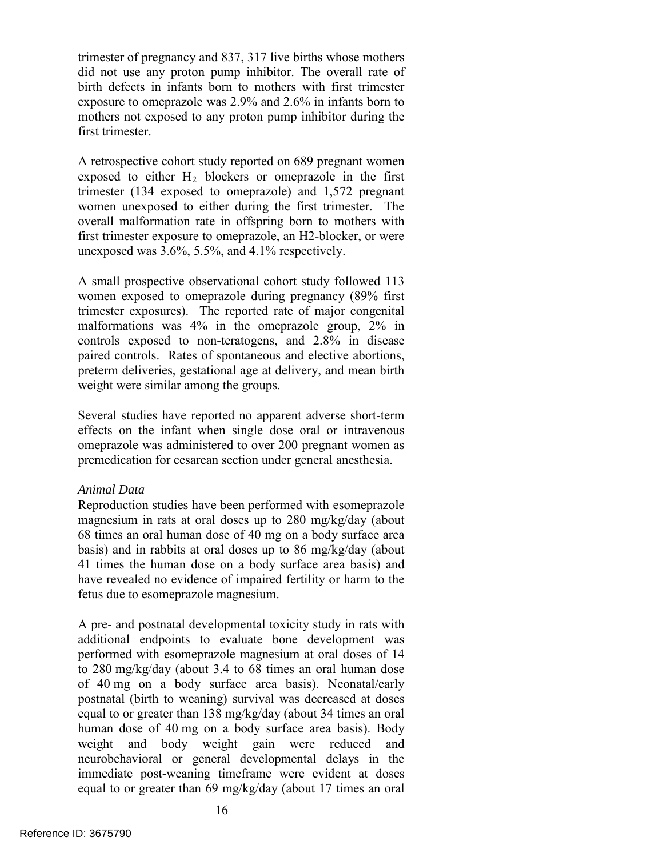exposure to omeprazole was 2.9% and 2.6% in infants born to trimester of pregnancy and 837, 317 live births whose mothers did not use any proton pump inhibitor. The overall rate of birth defects in infants born to mothers with first trimester mothers not exposed to any proton pump inhibitor during the first trimester.

A retrospective cohort study reported on 689 pregnant women exposed to either  $H_2$  blockers or omeprazole in the first trimester (134 exposed to omeprazole) and 1,572 pregnant women unexposed to either during the first trimester. The overall malformation rate in offspring born to mothers with first trimester exposure to omeprazole, an H2-blocker, or were unexposed was 3.6%, 5.5%, and 4.1% respectively.

 women exposed to omeprazole during pregnancy (89% first weight were similar among the groups. A small prospective observational cohort study followed 113 trimester exposures). The reported rate of major congenital malformations was 4% in the omeprazole group, 2% in controls exposed to non-teratogens, and 2.8% in disease paired controls. Rates of spontaneous and elective abortions, preterm deliveries, gestational age at delivery, and mean birth

 premedication for cesarean section under general anesthesia. Several studies have reported no apparent adverse short-term effects on the infant when single dose oral or intravenous omeprazole was administered to over 200 pregnant women as

#### *Animal Data*

 magnesium in rats at oral doses up to 280 mg/kg/day (about 68 times an oral human dose of 40 mg on a body surface area basis) and in rabbits at oral doses up to 86 mg/kg/day (about Reproduction studies have been performed with esomeprazole 41 times the human dose on a body surface area basis) and have revealed no evidence of impaired fertility or harm to the fetus due to esomeprazole magnesium.

 A pre- and postnatal developmental toxicity study in rats with to 280 mg/kg/day (about 3.4 to 68 times an oral human dose additional endpoints to evaluate bone development was performed with esomeprazole magnesium at oral doses of 14 of 40 mg on a body surface area basis). Neonatal/early postnatal (birth to weaning) survival was decreased at doses equal to or greater than 138 mg/kg/day (about 34 times an oral human dose of 40 mg on a body surface area basis). Body weight and body weight gain were reduced and neurobehavioral or general developmental delays in the immediate post-weaning timeframe were evident at doses equal to or greater than 69 mg/kg/day (about 17 times an oral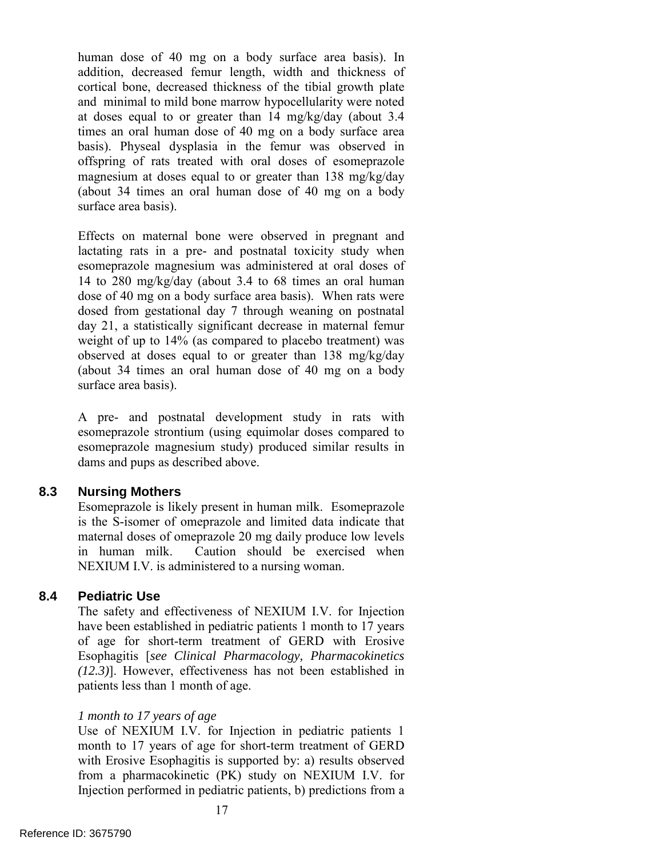and minimal to mild bone marrow hypocellularity were noted at doses equal to or greater than 14 mg/kg/day (about 3.4 magnesium at doses equal to or greater than 138 mg/kg/day (about 34 times an oral human dose of 40 mg on a body human dose of 40 mg on a body surface area basis). In addition, decreased femur length, width and thickness of cortical bone, decreased thickness of the tibial growth plate times an oral human dose of 40 mg on a body surface area basis). Physeal dysplasia in the femur was observed in offspring of rats treated with oral doses of esomeprazole surface area basis).

 Effects on maternal bone were observed in pregnant and lactating rats in a pre- and postnatal toxicity study when (about 34 times an oral human dose of 40 mg on a body esomeprazole magnesium was administered at oral doses of 14 to 280 mg/kg/day (about 3.4 to 68 times an oral human dose of 40 mg on a body surface area basis). When rats were dosed from gestational day 7 through weaning on postnatal day 21, a statistically significant decrease in maternal femur weight of up to 14% (as compared to placebo treatment) was observed at doses equal to or greater than 138 mg/kg/day surface area basis).

A pre- and postnatal development study in rats with esomeprazole strontium (using equimolar doses compared to esomeprazole magnesium study) produced similar results in dams and pups as described above.

### **8.3 Nursing Mothers**

Esomeprazole is likely present in human milk. Esomeprazole is the S-isomer of omeprazole and limited data indicate that maternal doses of omeprazole 20 mg daily produce low levels in human milk. Caution should be exercised when NEXIUM I.V. is administered to a nursing woman.

#### **8.4 Pediatric Use**

 The safety and effectiveness of NEXIUM I.V. for Injection have been established in pediatric patients 1 month to 17 years of age for short-term treatment of GERD with Erosive Esophagitis [*see Clinical Pharmacology, Pharmacokinetics (12.3)*]. However, effectiveness has not been established in patients less than 1 month of age.

#### *1 month to 17 years of age*

 Use of NEXIUM I.V. for Injection in pediatric patients 1 from a pharmacokinetic (PK) study on NEXIUM I.V. for month to 17 years of age for short-term treatment of GERD with Erosive Esophagitis is supported by: a) results observed Injection performed in pediatric patients, b) predictions from a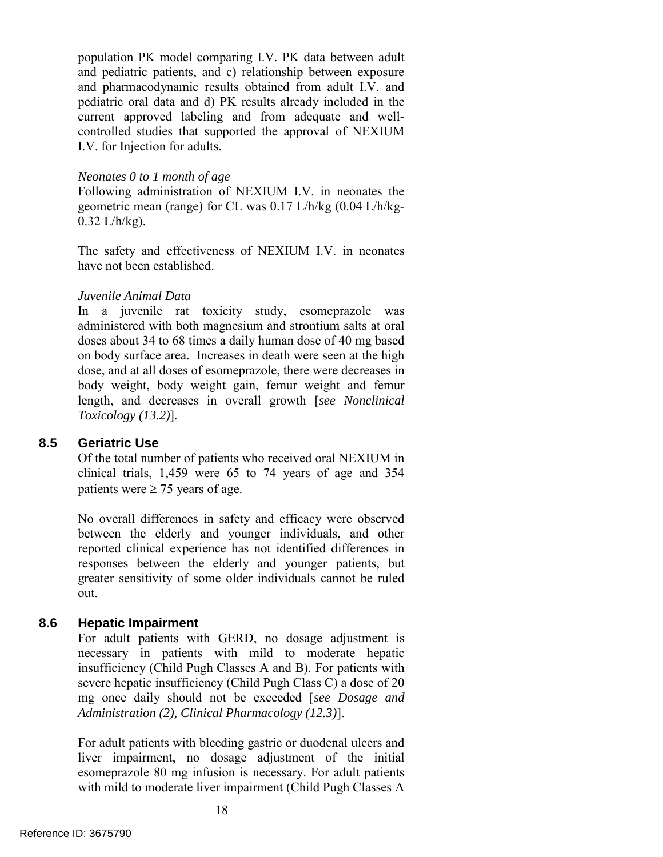population PK model comparing I.V. PK data between adult and pharmacodynamic results obtained from adult I.V. and I.V. for Injection for adults. and pediatric patients, and c) relationship between exposure pediatric oral data and d) PK results already included in the current approved labeling and from adequate and wellcontrolled studies that supported the approval of NEXIUM

#### *Neonates 0 to 1 month of age*

 geometric mean (range) for CL was 0.17 L/h/kg (0.04 L/h/kg-Following administration of NEXIUM I.V. in neonates the  $0.32$  L/h/kg).

The safety and effectiveness of NEXIUM I.V. in neonates have not been established.

#### *Juvenile Animal Data*

 on body surface area. Increases in death were seen at the high dose, and at all doses of esomeprazole, there were decreases in In a juvenile rat toxicity study, esomeprazole was administered with both magnesium and strontium salts at oral doses about 34 to 68 times a daily human dose of 40 mg based body weight, body weight gain, femur weight and femur length, and decreases in overall growth [*see Nonclinical Toxicology (13.2)*]*.* 

#### **8.5 Geriatric Use**

patients were  $\geq$  75 years of age. Of the total number of patients who received oral NEXIUM in clinical trials, 1,459 were 65 to 74 years of age and 354

 responses between the elderly and younger patients, but No overall differences in safety and efficacy were observed between the elderly and younger individuals, and other reported clinical experience has not identified differences in greater sensitivity of some older individuals cannot be ruled out.

## **8.6 Hepatic Impairment**

For adult patients with GERD, no dosage adjustment is necessary in patients with mild to moderate hepatic insufficiency (Child Pugh Classes A and B). For patients with severe hepatic insufficiency (Child Pugh Class C) a dose of 20 mg once daily should not be exceeded [*see Dosage and Administration (2), Clinical Pharmacology (12.3)*].

For adult patients with bleeding gastric or duodenal ulcers and liver impairment, no dosage adjustment of the initial esomeprazole 80 mg infusion is necessary. For adult patients with mild to moderate liver impairment (Child Pugh Classes A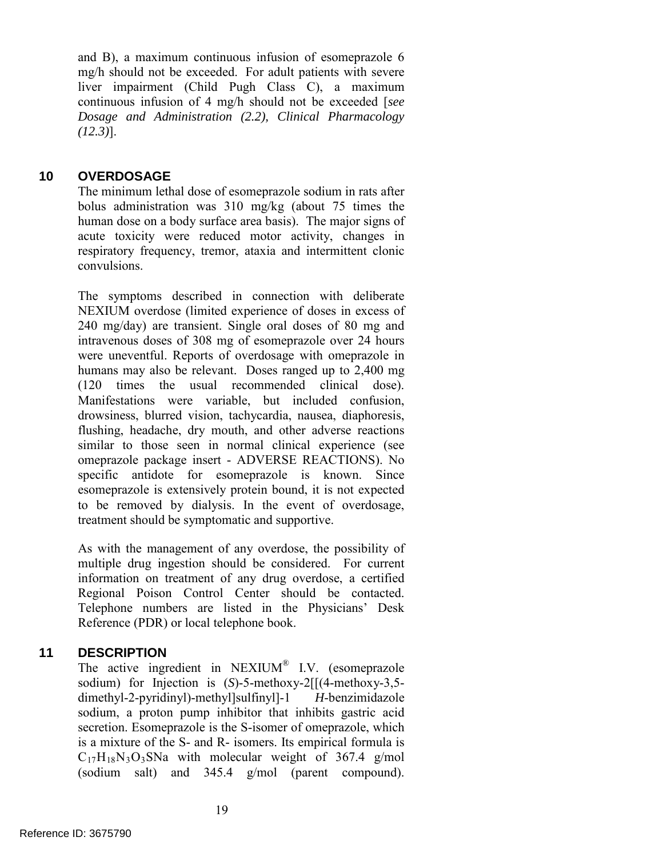mg/h should not be exceeded. For adult patients with severe and B), a maximum continuous infusion of esomeprazole 6 liver impairment (Child Pugh Class C), a maximum continuous infusion of 4 mg/h should not be exceeded [*see Dosage and Administration (2.2), Clinical Pharmacology (12.3)*].

## **10 OVERDOSAGE**

The minimum lethal dose of esomeprazole sodium in rats after bolus administration was 310 mg/kg (about 75 times the human dose on a body surface area basis). The major signs of acute toxicity were reduced motor activity, changes in respiratory frequency, tremor, ataxia and intermittent clonic convulsions.

The symptoms described in connection with deliberate NEXIUM overdose (limited experience of doses in excess of 240 mg/day) are transient. Single oral doses of 80 mg and intravenous doses of 308 mg of esomeprazole over 24 hours were uneventful. Reports of overdosage with omeprazole in humans may also be relevant. Doses ranged up to 2,400 mg (120 times the usual recommended clinical dose). Manifestations were variable, but included confusion, drowsiness, blurred vision, tachycardia, nausea, diaphoresis, flushing, headache, dry mouth, and other adverse reactions similar to those seen in normal clinical experience (see omeprazole package insert - ADVERSE REACTIONS). No specific antidote for esomeprazole is known. Since esomeprazole is extensively protein bound, it is not expected to be removed by dialysis. In the event of overdosage, treatment should be symptomatic and supportive.

As with the management of any overdose, the possibility of multiple drug ingestion should be considered. For current information on treatment of any drug overdose, a certified Regional Poison Control Center should be contacted. Telephone numbers are listed in the Physicians' Desk Reference (PDR) or local telephone book.

## **11 DESCRIPTION**

 is a mixture of the S- and R- isomers. Its empirical formula is The active ingredient in NEXIUM® I.V. (esomeprazole sodium) for Injection is (*S*)-5-methoxy-2[[(4-methoxy-3,5 dimethyl-2-pyridinyl)-methyl]sulfinyl]-1 *H*-benzimidazole sodium, a proton pump inhibitor that inhibits gastric acid secretion. Esomeprazole is the S-isomer of omeprazole, which  $C_{17}H_{18}N_3O_3S$ Na with molecular weight of 367.4 g/mol (sodium salt) and 345.4 g/mol (parent compound).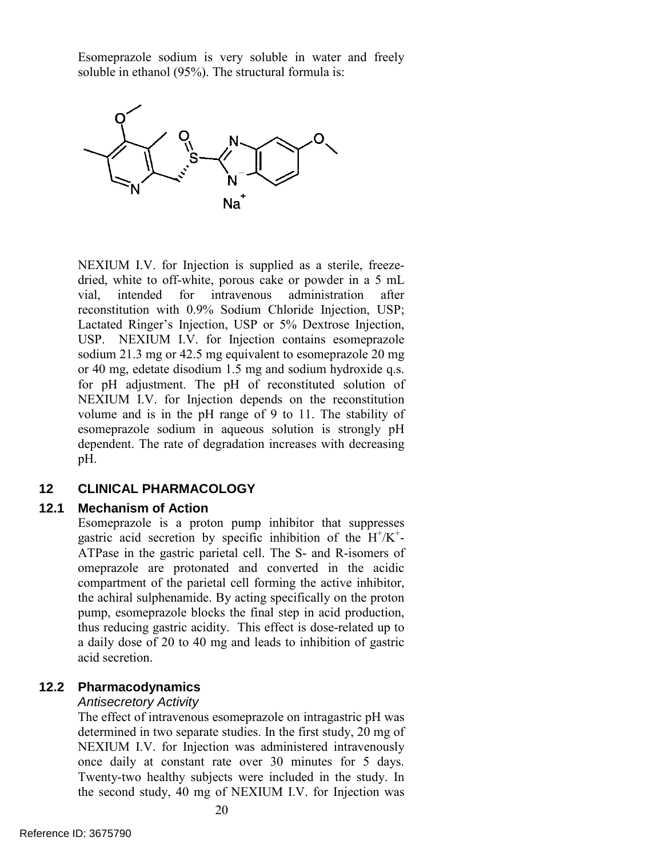Esomeprazole sodium is very soluble in water and freely soluble in ethanol (95%). The structural formula is:



 Lactated Ringer's Injection, USP or 5% Dextrose Injection, USP. NEXIUM I.V. for Injection contains esomeprazole NEXIUM I.V. for Injection depends on the reconstitution NEXIUM I.V. for Injection is supplied as a sterile, freezedried, white to off-white, porous cake or powder in a 5 mL vial, intended for intravenous administration after reconstitution with 0.9% Sodium Chloride Injection, USP; sodium 21.3 mg or 42.5 mg equivalent to esomeprazole 20 mg or 40 mg, edetate disodium 1.5 mg and sodium hydroxide q.s. for pH adjustment. The pH of reconstituted solution of volume and is in the pH range of 9 to 11. The stability of esomeprazole sodium in aqueous solution is strongly pH dependent. The rate of degradation increases with decreasing pH.

## **12 CLINICAL PHARMACOLOGY**

#### **12.1 Mechanism of Action**

 a daily dose of 20 to 40 mg and leads to inhibition of gastric Esomeprazole is a proton pump inhibitor that suppresses gastric acid secretion by specific inhibition of the  $H^+/K^+$ -ATPase in the gastric parietal cell. The S- and R-isomers of omeprazole are protonated and converted in the acidic compartment of the parietal cell forming the active inhibitor, the achiral sulphenamide. By acting specifically on the proton pump, esomeprazole blocks the final step in acid production, thus reducing gastric acidity. This effect is dose-related up to acid secretion.

#### **12.2 Pharmacodynamics**

#### *Antisecretory Activity*

 NEXIUM I.V. for Injection was administered intravenously The effect of intravenous esomeprazole on intragastric pH was determined in two separate studies. In the first study, 20 mg of once daily at constant rate over 30 minutes for 5 days. Twenty-two healthy subjects were included in the study. In the second study, 40 mg of NEXIUM I.V. for Injection was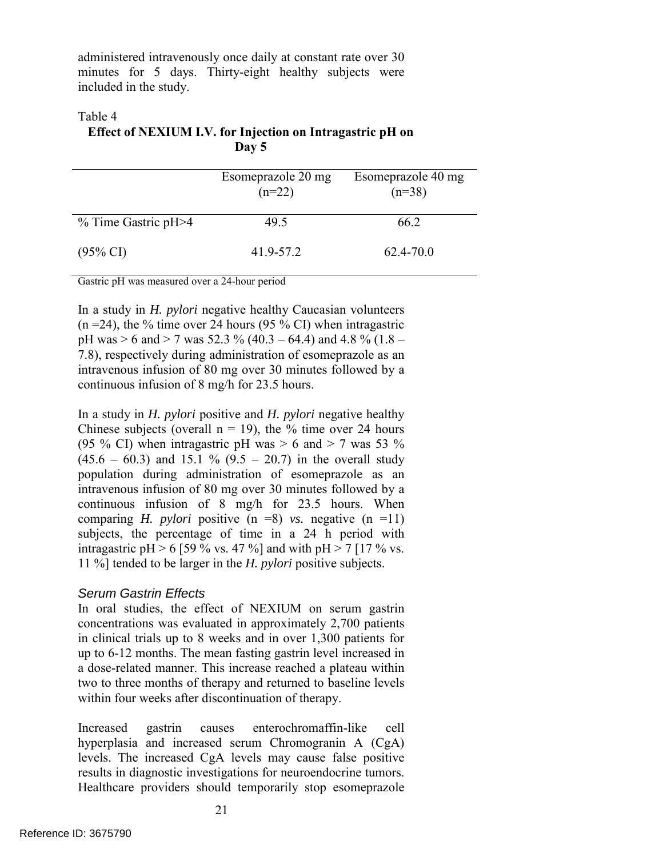administered intravenously once daily at constant rate over 30 minutes for 5 days. Thirty-eight healthy subjects were included in the study.

#### Table 4

**Effect of NEXIUM I.V. for Injection on Intragastric pH on Day 5** 

|                     | Esomeprazole 20 mg<br>$(n=22)$ | Esomeprazole 40 mg<br>$(n=38)$ |
|---------------------|--------------------------------|--------------------------------|
| % Time Gastric pH>4 | 49.5                           | 662                            |
| $(95\% \text{ CI})$ | 41.9-57.2                      | 62.4-70.0                      |

Gastric pH was measured over a 24-hour period

 $(n = 24)$ , the % time over 24 hours (95 % CI) when intragastric intravenous infusion of 80 mg over 30 minutes followed by a In a study in *H. pylori* negative healthy Caucasian volunteers pH was  $> 6$  and  $> 7$  was 52.3 % (40.3 – 64.4) and 4.8 % (1.8 – 7.8), respectively during administration of esomeprazole as an continuous infusion of 8 mg/h for 23.5 hours.

(95 % CI) when intragastric pH was  $> 6$  and  $> 7$  was 53 % intravenous infusion of 80 mg over 30 minutes followed by a 11 %] tended to be larger in the *H. pylori* positive subjects. In a study in *H. pylori* positive and *H. pylori* negative healthy Chinese subjects (overall  $n = 19$ ), the % time over 24 hours  $(45.6 - 60.3)$  and 15.1 %  $(9.5 - 20.7)$  in the overall study population during administration of esomeprazole as an continuous infusion of 8 mg/h for 23.5 hours. When comparing *H. pylori* positive  $(n =8)$  *vs.* negative  $(n =11)$ subjects, the percentage of time in a 24 h period with intragastric pH > 6 [59 % vs. 47 %] and with pH > 7 [17 % vs.

#### *Serum Gastrin Effects*

In oral studies, the effect of NEXIUM on serum gastrin concentrations was evaluated in approximately 2,700 patients in clinical trials up to 8 weeks and in over 1,300 patients for up to 6-12 months. The mean fasting gastrin level increased in a dose-related manner. This increase reached a plateau within two to three months of therapy and returned to baseline levels within four weeks after discontinuation of therapy.

Increased gastrin causes enterochromaffin-like cell hyperplasia and increased serum Chromogranin A (CgA) levels. The increased CgA levels may cause false positive results in diagnostic investigations for neuroendocrine tumors. Healthcare providers should temporarily stop esomeprazole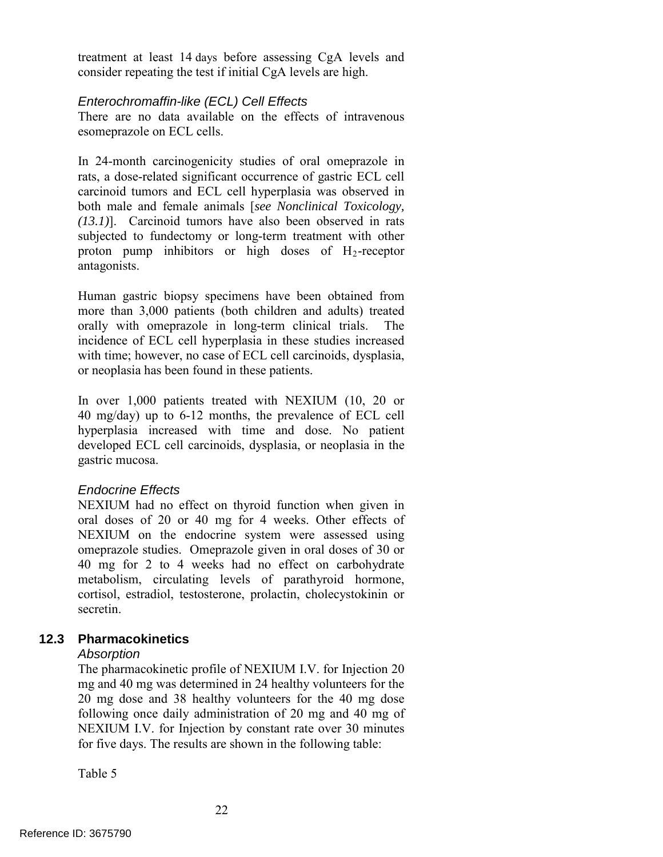treatment at least 14 days before assessing CgA levels and consider repeating the test if initial CgA levels are high.

#### *Enterochromaffin-like (ECL) Cell Effects*

There are no data available on the effects of intravenous esomeprazole on ECL cells.

 antagonists. In 24-month carcinogenicity studies of oral omeprazole in rats, a dose-related significant occurrence of gastric ECL cell carcinoid tumors and ECL cell hyperplasia was observed in both male and female animals [*see Nonclinical Toxicology, (13.1)*]. Carcinoid tumors have also been observed in rats subjected to fundectomy or long-term treatment with other proton pump inhibitors or high doses of  $H_2$ -receptor

Human gastric biopsy specimens have been obtained from more than 3,000 patients (both children and adults) treated orally with omeprazole in long-term clinical trials. The incidence of ECL cell hyperplasia in these studies increased with time; however, no case of ECL cell carcinoids, dysplasia, or neoplasia has been found in these patients.

In over 1,000 patients treated with NEXIUM (10, 20 or 40 mg/day) up to 6-12 months, the prevalence of ECL cell hyperplasia increased with time and dose. No patient developed ECL cell carcinoids, dysplasia, or neoplasia in the gastric mucosa.

#### *Endocrine Effects*

NEXIUM had no effect on thyroid function when given in oral doses of 20 or 40 mg for 4 weeks. Other effects of NEXIUM on the endocrine system were assessed using omeprazole studies. Omeprazole given in oral doses of 30 or 40 mg for 2 to 4 weeks had no effect on carbohydrate metabolism, circulating levels of parathyroid hormone, cortisol, estradiol, testosterone, prolactin, cholecystokinin or secretin.

## **12.3 Pharmacokinetics**

#### *Absorption*

 The pharmacokinetic profile of NEXIUM I.V. for Injection 20 NEXIUM I.V. for Injection by constant rate over 30 minutes mg and 40 mg was determined in 24 healthy volunteers for the 20 mg dose and 38 healthy volunteers for the 40 mg dose following once daily administration of 20 mg and 40 mg of for five days. The results are shown in the following table:

Table 5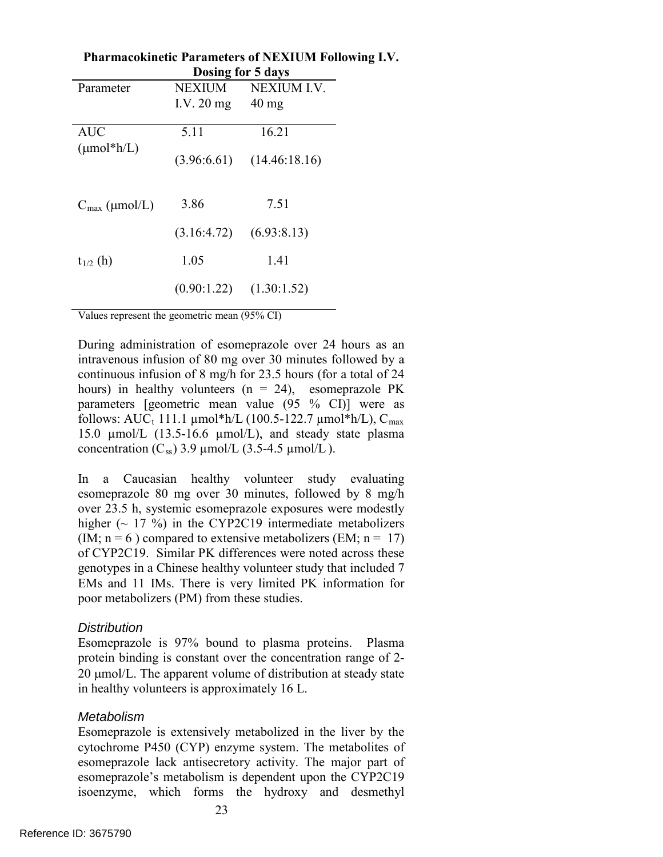|                           | Dosing for 5 days          |                               |  |  |
|---------------------------|----------------------------|-------------------------------|--|--|
| Parameter                 | NEXIUM                     | NEXIUM I.V.                   |  |  |
|                           | I.V. $20 \text{ mg}$ 40 mg |                               |  |  |
| <b>AUC</b>                | 5.11                       | 16.21                         |  |  |
|                           |                            |                               |  |  |
| $(\mu mol^*h/L)$          |                            | $(3.96:6.61)$ $(14.46:18.16)$ |  |  |
|                           |                            |                               |  |  |
| $C_{\text{max}}$ (µmol/L) | 3.86                       | 7.51                          |  |  |
|                           | (3.16:4.72)                | (6.93:8.13)                   |  |  |
| $t_{1/2}$ (h)             | 1.05                       | 1.41                          |  |  |
|                           | (0.90:1.22)                | (1.30:1.52)                   |  |  |
|                           |                            |                               |  |  |

**Pharmacokinetic Parameters of NEXIUM Following I.V.** 

Values represent the geometric mean (95% CI)

 intravenous infusion of 80 mg over 30 minutes followed by a continuous infusion of 8 mg/h for 23.5 hours (for a total of 24 During administration of esomeprazole over 24 hours as an hours) in healthy volunteers  $(n = 24)$ , esomeprazole PK parameters [geometric mean value (95 % CI)] were as follows:  $AUC_t$  111.1 µmol\*h/L (100.5-122.7 µmol\*h/L),  $C_{max}$ 15.0 µmol/L (13.5-16.6 µmol/L), and steady state plasma concentration  $(C_{ss})$  3.9 µmol/L (3.5-4.5 µmol/L).

(IM;  $n = 6$ ) compared to extensive metabolizers (EM;  $n = 17$ ) In a Caucasian healthy volunteer study evaluating esomeprazole 80 mg over 30 minutes, followed by 8 mg/h over 23.5 h, systemic esomeprazole exposures were modestly higher  $(-17\%)$  in the CYP2C19 intermediate metabolizers of CYP2C19. Similar PK differences were noted across these genotypes in a Chinese healthy volunteer study that included 7 EMs and 11 IMs. There is very limited PK information for poor metabolizers (PM) from these studies.

#### *Distribution*

Esomeprazole is 97% bound to plasma proteins. Plasma protein binding is constant over the concentration range of 2- 20  $\mu$ mol/L. The apparent volume of distribution at steady state in healthy volunteers is approximately 16 L.

#### *Metabolism*

 isoenzyme, which forms the hydroxy and desmethyl Esomeprazole is extensively metabolized in the liver by the cytochrome P450 (CYP) enzyme system. The metabolites of esomeprazole lack antisecretory activity. The major part of esomeprazole's metabolism is dependent upon the CYP2C19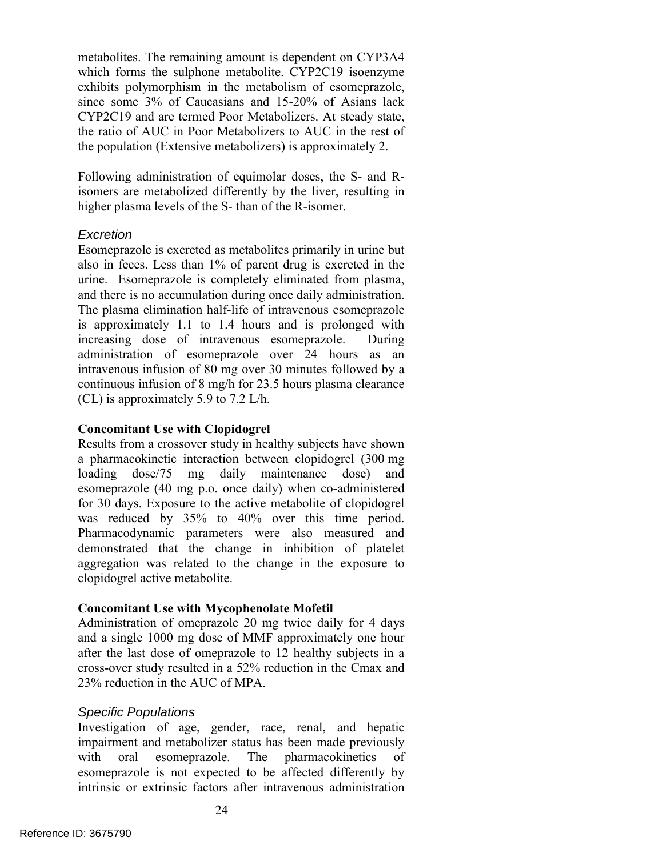CYP2C19 and are termed Poor Metabolizers. At steady state, metabolites. The remaining amount is dependent on CYP3A4 which forms the sulphone metabolite. CYP2C19 isoenzyme exhibits polymorphism in the metabolism of esomeprazole, since some 3% of Caucasians and 15-20% of Asians lack the ratio of AUC in Poor Metabolizers to AUC in the rest of the population (Extensive metabolizers) is approximately 2.

Following administration of equimolar doses, the S- and Risomers are metabolized differently by the liver, resulting in higher plasma levels of the S- than of the R-isomer.

#### *Excretion*

 administration of esomeprazole over 24 hours as an Esomeprazole is excreted as metabolites primarily in urine but also in feces. Less than 1% of parent drug is excreted in the urine. Esomeprazole is completely eliminated from plasma, and there is no accumulation during once daily administration. The plasma elimination half-life of intravenous esomeprazole is approximately 1.1 to 1.4 hours and is prolonged with increasing dose of intravenous esomeprazole. During intravenous infusion of 80 mg over 30 minutes followed by a continuous infusion of 8 mg/h for 23.5 hours plasma clearance (CL) is approximately 5.9 to 7.2 L/h.

#### **Concomitant Use with Clopidogrel**

 Results from a crossover study in healthy subjects have shown a pharmacokinetic interaction between clopidogrel (300 mg loading dose/75 mg daily maintenance dose) and esomeprazole (40 mg p.o. once daily) when co-administered for 30 days. Exposure to the active metabolite of clopidogrel was reduced by 35% to 40% over this time period. Pharmacodynamic parameters were also measured and demonstrated that the change in inhibition of platelet aggregation was related to the change in the exposure to clopidogrel active metabolite.

## **Concomitant Use with Mycophenolate Mofetil**

 and a single 1000 mg dose of MMF approximately one hour Administration of omeprazole 20 mg twice daily for 4 days after the last dose of omeprazole to 12 healthy subjects in a cross-over study resulted in a 52% reduction in the Cmax and 23% reduction in the AUC of MPA.

#### *Specific Populations*

Investigation of age, gender, race, renal, and hepatic impairment and metabolizer status has been made previously with oral esomeprazole. The pharmacokinetics of esomeprazole is not expected to be affected differently by intrinsic or extrinsic factors after intravenous administration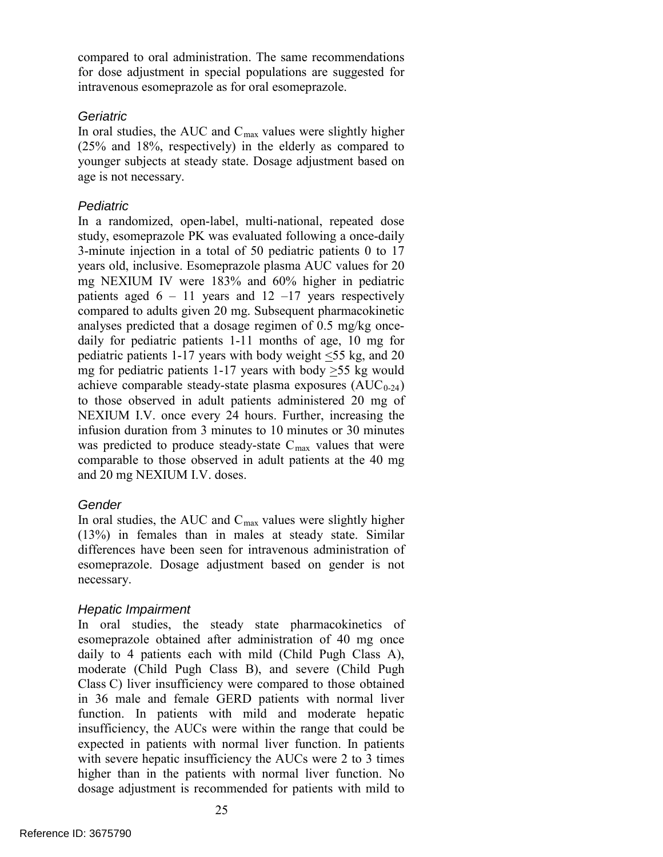compared to oral administration. The same recommendations for dose adjustment in special populations are suggested for intravenous esomeprazole as for oral esomeprazole.

### *Geriatric*

 (25% and 18%, respectively) in the elderly as compared to In oral studies, the AUC and  $C_{\text{max}}$  values were slightly higher younger subjects at steady state. Dosage adjustment based on age is not necessary.

### *Pediatric*

patients aged  $6 - 11$  years and  $12 - 17$  years respectively and 20 mg NEXIUM I.V. doses. In a randomized, open-label, multi-national, repeated dose study, esomeprazole PK was evaluated following a once-daily 3-minute injection in a total of 50 pediatric patients 0 to 17 years old, inclusive. Esomeprazole plasma AUC values for 20 mg NEXIUM IV were 183% and 60% higher in pediatric compared to adults given 20 mg. Subsequent pharmacokinetic analyses predicted that a dosage regimen of 0.5 mg/kg oncedaily for pediatric patients 1-11 months of age, 10 mg for pediatric patients 1-17 years with body weight <55 kg, and 20 mg for pediatric patients 1-17 years with body  $>55$  kg would achieve comparable steady-state plasma exposures  $(AUC_{0-24})$ to those observed in adult patients administered 20 mg of NEXIUM I.V. once every 24 hours. Further, increasing the infusion duration from 3 minutes to 10 minutes or 30 minutes was predicted to produce steady-state  $C_{\text{max}}$  values that were comparable to those observed in adult patients at the 40 mg

## *Gender*

In oral studies, the AUC and  $C_{\text{max}}$  values were slightly higher (13%) in females than in males at steady state. Similar differences have been seen for intravenous administration of esomeprazole. Dosage adjustment based on gender is not necessary.

## *Hepatic Impairment*

In oral studies, the steady state pharmacokinetics of esomeprazole obtained after administration of 40 mg once daily to 4 patients each with mild (Child Pugh Class A), moderate (Child Pugh Class B), and severe (Child Pugh Class C) liver insufficiency were compared to those obtained in 36 male and female GERD patients with normal liver function. In patients with mild and moderate hepatic insufficiency, the AUCs were within the range that could be expected in patients with normal liver function. In patients with severe hepatic insufficiency the AUCs were 2 to 3 times higher than in the patients with normal liver function. No dosage adjustment is recommended for patients with mild to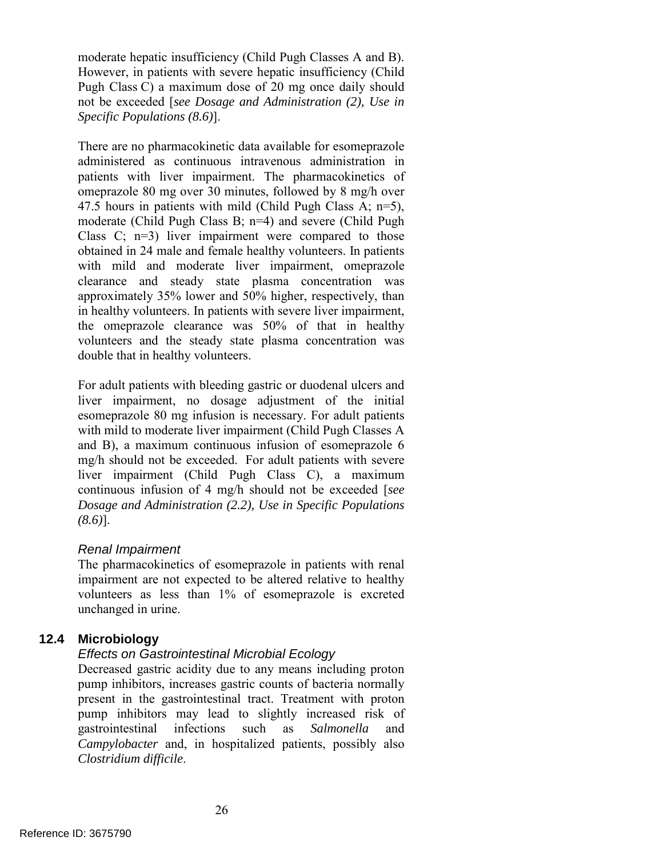moderate hepatic insufficiency (Child Pugh Classes A and B). However, in patients with severe hepatic insufficiency (Child Pugh Class C) a maximum dose of 20 mg once daily should not be exceeded [*see Dosage and Administration (2), Use in Specific Populations (8.6)*].

 in healthy volunteers. In patients with severe liver impairment, There are no pharmacokinetic data available for esomeprazole administered as continuous intravenous administration in patients with liver impairment. The pharmacokinetics of omeprazole 80 mg over 30 minutes, followed by 8 mg/h over 47.5 hours in patients with mild (Child Pugh Class A; n=5), moderate (Child Pugh Class B; n=4) and severe (Child Pugh Class  $C: n=3$  liver impairment were compared to those obtained in 24 male and female healthy volunteers. In patients with mild and moderate liver impairment, omeprazole clearance and steady state plasma concentration was approximately 35% lower and 50% higher, respectively, than the omeprazole clearance was 50% of that in healthy volunteers and the steady state plasma concentration was double that in healthy volunteers.

For adult patients with bleeding gastric or duodenal ulcers and liver impairment, no dosage adjustment of the initial esomeprazole 80 mg infusion is necessary. For adult patients with mild to moderate liver impairment (Child Pugh Classes A and B), a maximum continuous infusion of esomeprazole 6 mg/h should not be exceeded. For adult patients with severe liver impairment (Child Pugh Class C), a maximum continuous infusion of 4 mg/h should not be exceeded [*see Dosage and Administration (2.2), Use in Specific Populations (8.6)*].

## *Renal Impairment*

The pharmacokinetics of esomeprazole in patients with renal impairment are not expected to be altered relative to healthy volunteers as less than 1% of esomeprazole is excreted unchanged in urine.

## **12.4 Microbiology**

## *Effects on Gastrointestinal Microbial Ecology*

 Decreased gastric acidity due to any means including proton pump inhibitors, increases gastric counts of bacteria normally present in the gastrointestinal tract. Treatment with proton pump inhibitors may lead to slightly increased risk of gastrointestinal infections such as *Salmonella* and *Campylobacter* and, in hospitalized patients, possibly also *Clostridium difficile*.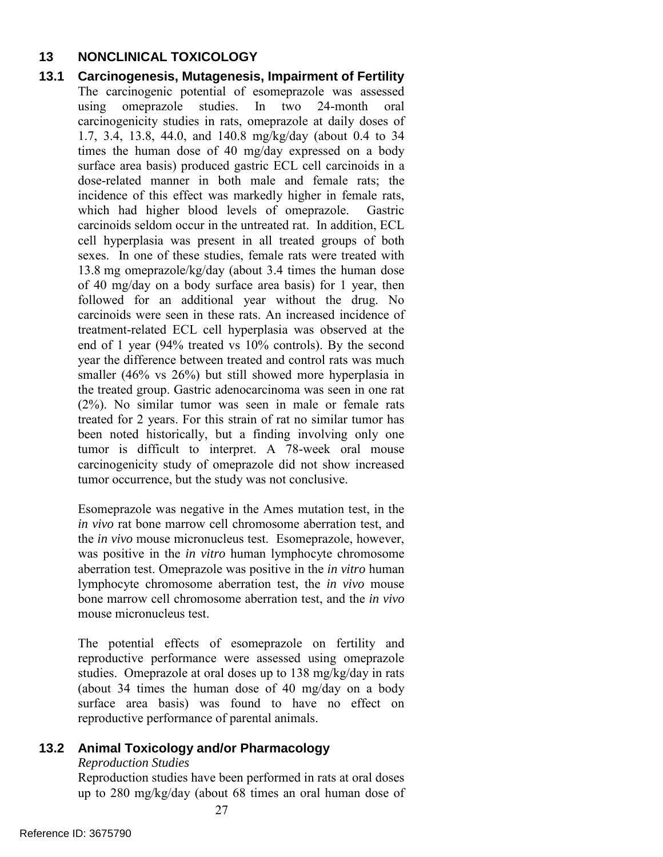## **13 NONCLINICAL TOXICOLOGY**

 13.8 mg omeprazole/kg/day (about 3.4 times the human dose of 40 mg/day on a body surface area basis) for 1 year, then followed for an additional year without the drug. No end of 1 year (94% treated vs 10% controls). By the second **13.1 Carcinogenesis, Mutagenesis, Impairment of Fertility** The carcinogenic potential of esomeprazole was assessed using omeprazole studies. In two 24-month oral carcinogenicity studies in rats, omeprazole at daily doses of 1.7, 3.4, 13.8, 44.0, and 140.8 mg/kg/day (about 0.4 to 34 times the human dose of 40 mg/day expressed on a body surface area basis) produced gastric ECL cell carcinoids in a dose-related manner in both male and female rats; the incidence of this effect was markedly higher in female rats, which had higher blood levels of omeprazole. Gastric carcinoids seldom occur in the untreated rat. In addition, ECL cell hyperplasia was present in all treated groups of both sexes. In one of these studies, female rats were treated with carcinoids were seen in these rats. An increased incidence of treatment-related ECL cell hyperplasia was observed at the year the difference between treated and control rats was much smaller (46% vs 26%) but still showed more hyperplasia in the treated group. Gastric adenocarcinoma was seen in one rat (2%). No similar tumor was seen in male or female rats treated for 2 years. For this strain of rat no similar tumor has been noted historically, but a finding involving only one tumor is difficult to interpret. A 78-week oral mouse carcinogenicity study of omeprazole did not show increased tumor occurrence, but the study was not conclusive.

> lymphocyte chromosome aberration test, the *in vivo* mouse mouse micronucleus test Esomeprazole was negative in the Ames mutation test, in the *in vivo* rat bone marrow cell chromosome aberration test, and the *in vivo* mouse micronucleus test. Esomeprazole, however, was positive in the *in vitro* human lymphocyte chromosome aberration test. Omeprazole was positive in the *in vitro* human bone marrow cell chromosome aberration test, and the *in vivo*

> (about 34 times the human dose of 40 mg/day on a body The potential effects of esomeprazole on fertility and reproductive performance were assessed using omeprazole studies. Omeprazole at oral doses up to 138 mg/kg/day in rats surface area basis) was found to have no effect on reproductive performance of parental animals.

## **13.2 Animal Toxicology and/or Pharmacology**

#### *Reproduction Studies*

 up to 280 mg/kg/day (about 68 times an oral human dose of Reproduction studies have been performed in rats at oral doses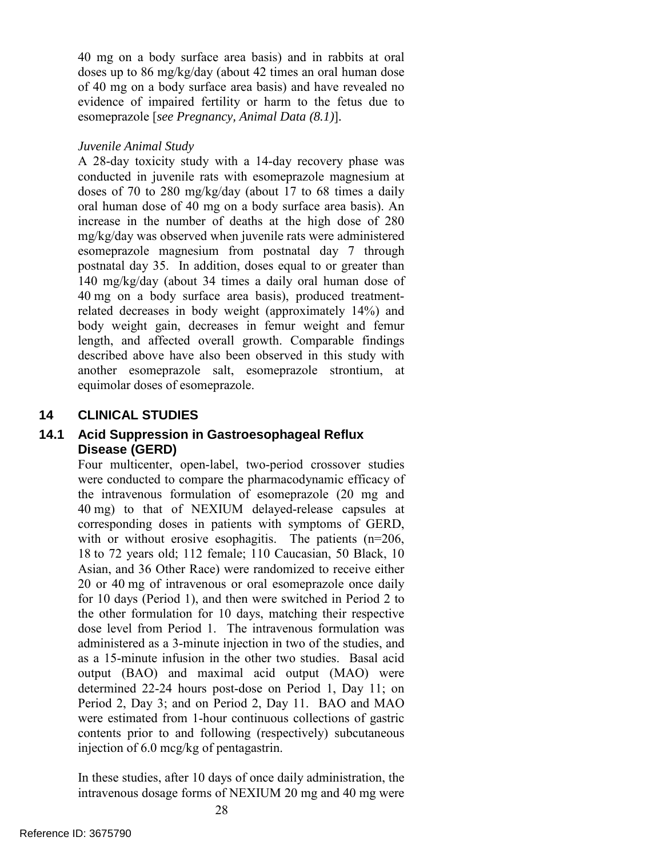doses up to 86 mg/kg/day (about 42 times an oral human dose  esomeprazole [*see Pregnancy, Animal Data (8.1)*]*. Juvenile Animal Study*  40 mg on a body surface area basis) and in rabbits at oral of 40 mg on a body surface area basis) and have revealed no evidence of impaired fertility or harm to the fetus due to

 A 28-day toxicity study with a 14-day recovery phase was oral human dose of 40 mg on a body surface area basis). An conducted in juvenile rats with esomeprazole magnesium at doses of 70 to 280 mg/kg/day (about 17 to 68 times a daily increase in the number of deaths at the high dose of 280 mg/kg/day was observed when juvenile rats were administered esomeprazole magnesium from postnatal day 7 through postnatal day 35. In addition, doses equal to or greater than 140 mg/kg/day (about 34 times a daily oral human dose of 40 mg on a body surface area basis), produced treatmentrelated decreases in body weight (approximately 14%) and body weight gain, decreases in femur weight and femur length, and affected overall growth. Comparable findings described above have also been observed in this study with another esomeprazole salt, esomeprazole strontium, at equimolar doses of esomeprazole.

## **14 CLINICAL STUDIES**

## **14.1 Acid Suppression in Gastroesophageal Reflux Disease (GERD)**

 40 mg) to that of NEXIUM delayed-release capsules at as a 15-minute infusion in the other two studies. Basal acid Period 2, Day 3; and on Period 2, Day 11. BAO and MAO were estimated from 1-hour continuous collections of gastric Four multicenter, open-label, two-period crossover studies were conducted to compare the pharmacodynamic efficacy of the intravenous formulation of esomeprazole (20 mg and corresponding doses in patients with symptoms of GERD, with or without erosive esophagitis. The patients (n=206, 18 to 72 years old; 112 female; 110 Caucasian, 50 Black, 10 Asian, and 36 Other Race) were randomized to receive either 20 or 40 mg of intravenous or oral esomeprazole once daily for 10 days (Period 1), and then were switched in Period 2 to the other formulation for 10 days, matching their respective dose level from Period 1. The intravenous formulation was administered as a 3-minute injection in two of the studies, and output (BAO) and maximal acid output (MAO) were determined 22-24 hours post-dose on Period 1, Day 11; on contents prior to and following (respectively) subcutaneous injection of 6.0 mcg/kg of pentagastrin.

 intravenous dosage forms of NEXIUM 20 mg and 40 mg were In these studies, after 10 days of once daily administration, the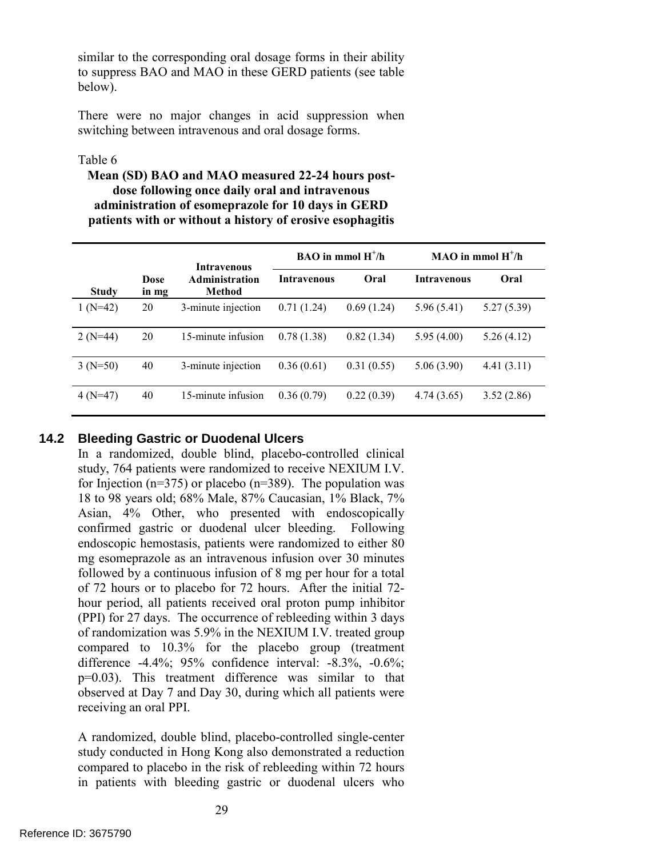similar to the corresponding oral dosage forms in their ability to suppress BAO and MAO in these GERD patients (see table below).

There were no major changes in acid suppression when switching between intravenous and oral dosage forms.

#### Table 6

## **Mean (SD) BAO and MAO measured 22-24 hours postdose following once daily oral and intravenous administration of esomeprazole for 10 days in GERD patients with or without a history of erosive esophagitis**

|              |               | <b>Intravenous</b>       | $BAO$ in mmol $H^+/h$ |            | $MAO$ in mmol $H^+/h$ |            |
|--------------|---------------|--------------------------|-----------------------|------------|-----------------------|------------|
| <b>Study</b> | Dose<br>in mg | Administration<br>Method | <b>Intravenous</b>    | Oral       | <b>Intravenous</b>    | Oral       |
| $1(N=42)$    | 20            | 3-minute injection       | 0.71(1.24)            | 0.69(1.24) | 5.96 (5.41)           | 5.27(5.39) |
| $2(N=44)$    | 20            | 15-minute infusion       | 0.78(1.38)            | 0.82(1.34) | 5.95(4.00)            | 5.26(4.12) |
| $3(N=50)$    | 40            | 3-minute injection       | 0.36(0.61)            | 0.31(0.55) | 5.06(3.90)            | 4.41(3.11) |
| $4(N=47)$    | 40            | 15-minute infusion       | 0.36(0.79)            | 0.22(0.39) | 4.74(3.65)            | 3.52(2.86) |

## **14.2 Bleeding Gastric or Duodenal Ulcers**

 study, 764 patients were randomized to receive NEXIUM I.V. of randomization was 5.9% in the NEXIUM I.V. treated group In a randomized, double blind, placebo-controlled clinical for Injection ( $n=375$ ) or placebo ( $n=389$ ). The population was 18 to 98 years old; 68% Male, 87% Caucasian, 1% Black, 7% Asian, 4% Other, who presented with endoscopically confirmed gastric or duodenal ulcer bleeding. Following endoscopic hemostasis, patients were randomized to either 80 mg esomeprazole as an intravenous infusion over 30 minutes followed by a continuous infusion of 8 mg per hour for a total of 72 hours or to placebo for 72 hours. After the initial 72 hour period, all patients received oral proton pump inhibitor (PPI) for 27 days. The occurrence of rebleeding within 3 days compared to 10.3% for the placebo group (treatment difference -4.4%; 95% confidence interval: -8.3%, -0.6%; p=0.03). This treatment difference was similar to that observed at Day 7 and Day 30, during which all patients were receiving an oral PPI.

A randomized, double blind, placebo-controlled single-center study conducted in Hong Kong also demonstrated a reduction compared to placebo in the risk of rebleeding within 72 hours in patients with bleeding gastric or duodenal ulcers who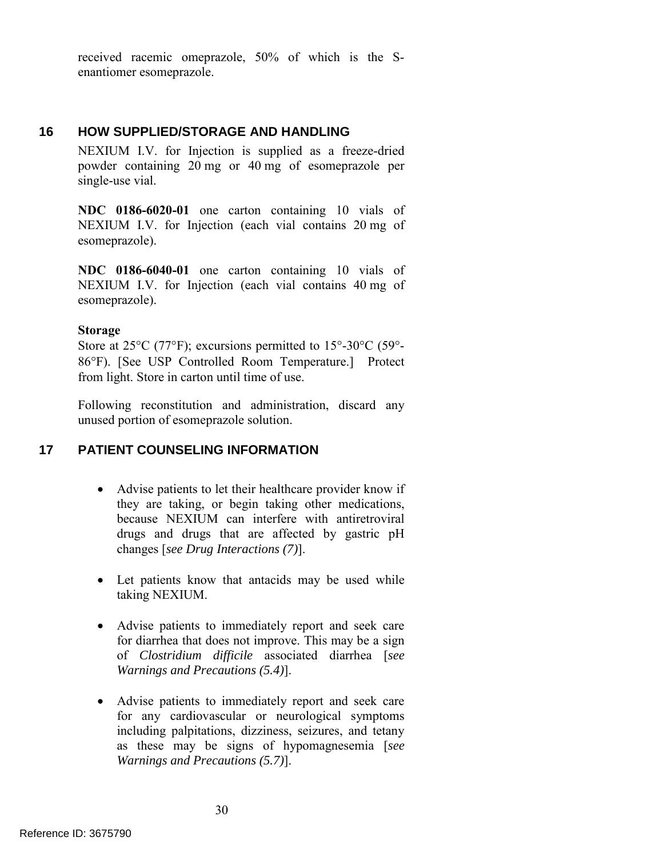received racemic omeprazole, 50% of which is the Senantiomer esomeprazole.

## **16 HOW SUPPLIED/STORAGE AND HANDLING**

 NEXIUM I.V. for Injection is supplied as a freeze-dried powder containing 20 mg or 40 mg of esomeprazole per single-use vial.

 NEXIUM I.V. for Injection (each vial contains 20 mg of **NDC 0186-6020-01** one carton containing 10 vials of esomeprazole).

 NEXIUM I.V. for Injection (each vial contains 40 mg of **NDC 0186-6040-01** one carton containing 10 vials of esomeprazole).

#### **Storage**

 86°F). [See USP Controlled Room Temperature.] Protect Store at 25<sup>o</sup>C (77<sup>o</sup>F); excursions permitted to 15<sup>o</sup>-30<sup>o</sup>C (59<sup>o</sup>from light. Store in carton until time of use.

Following reconstitution and administration, discard any unused portion of esomeprazole solution.

## **17 PATIENT COUNSELING INFORMATION**

- Advise patients to let their healthcare provider know if they are taking, or begin taking other medications, because NEXIUM can interfere with antiretroviral drugs and drugs that are affected by gastric pH changes [*see Drug Interactions (7)*].
- Let patients know that antacids may be used while taking NEXIUM.
- Advise patients to immediately report and seek care for diarrhea that does not improve. This may be a sign of *Clostridium difficile* associated diarrhea [*see Warnings and Precautions (5.4)*].
- Advise patients to immediately report and seek care for any cardiovascular or neurological symptoms including palpitations, dizziness, seizures, and tetany as these may be signs of hypomagnesemia [*see Warnings and Precautions (5.7)*].